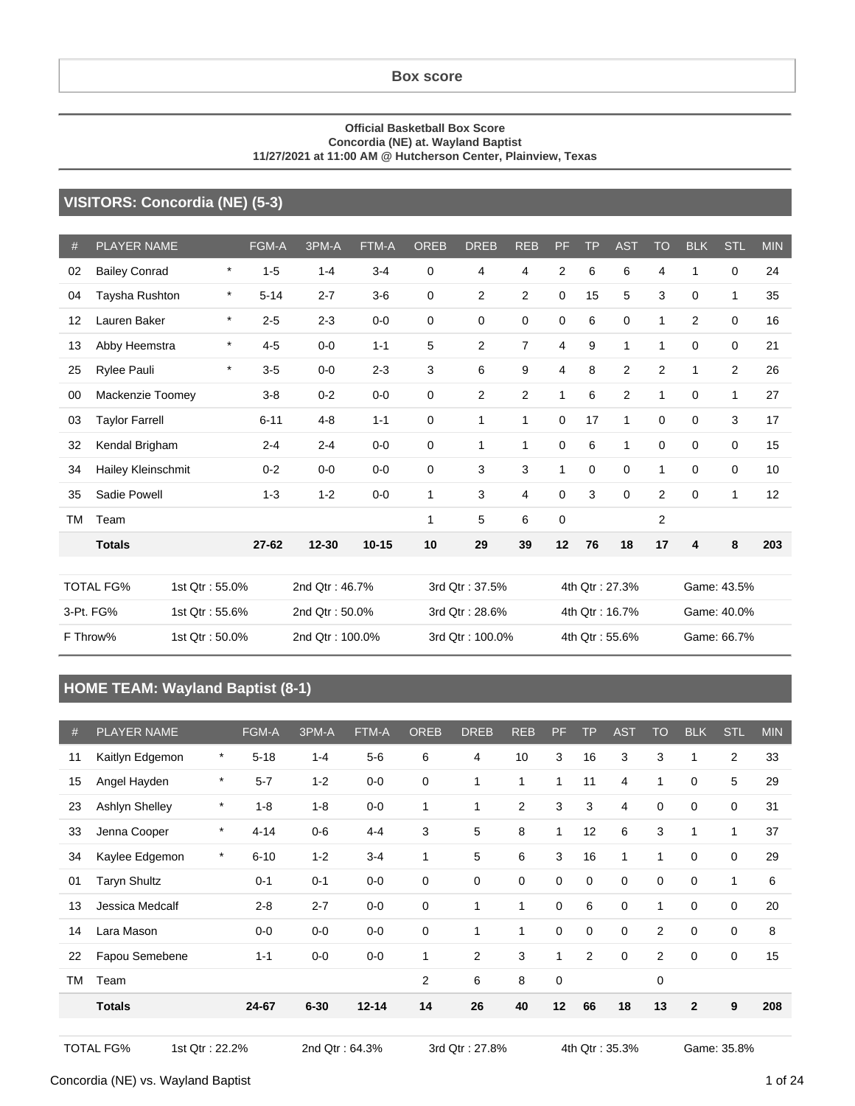#### **Box score**

#### **Official Basketball Box Score Concordia (NE) at. Wayland Baptist 11/27/2021 at 11:00 AM @ Hutcherson Center, Plainview, Texas**

### **VISITORS: Concordia (NE) (5-3)**

| #  | <b>PLAYER NAME</b>    |                | FGM-A    | 3PM-A           | FTM-A     | <b>OREB</b>  | <b>DREB</b>     | <b>REB</b>     | <b>PF</b>      | <b>TP</b>   | <b>AST</b>     | <b>TO</b>      | <b>BLK</b>  | <b>STL</b>     | <b>MIN</b> |
|----|-----------------------|----------------|----------|-----------------|-----------|--------------|-----------------|----------------|----------------|-------------|----------------|----------------|-------------|----------------|------------|
| 02 | <b>Bailey Conrad</b>  | $\star$        | $1 - 5$  | $1 - 4$         | $3 - 4$   | 0            | 4               | 4              | $\overline{2}$ | 6           | 6              | 4              | 1           | $\Omega$       | 24         |
| 04 | Taysha Rushton        | $\star$        | $5 - 14$ | $2 - 7$         | $3-6$     | 0            | $\overline{2}$  | $\overline{c}$ | 0              | 15          | 5              | 3              | $\Omega$    | 1              | 35         |
| 12 | Lauren Baker          | $\star$        | $2 - 5$  | $2 - 3$         | $0 - 0$   | 0            | 0               | 0              | 0              | 6           | 0              | 1              | 2           | 0              | 16         |
| 13 | Abby Heemstra         | $\star$        | $4 - 5$  | $0 - 0$         | $1 - 1$   | 5            | $\overline{2}$  | $\overline{7}$ | 4              | 9           | 1              | 1              | 0           | 0              | 21         |
| 25 | Rylee Pauli           | $\star$        | $3-5$    | $0 - 0$         | $2 - 3$   | 3            | 6               | 9              | 4              | 8           | 2              | $\overline{2}$ | 1           | $\overline{2}$ | 26         |
| 00 | Mackenzie Toomey      |                | $3 - 8$  | $0 - 2$         | $0-0$     | 0            | $\overline{2}$  | 2              | $\mathbf{1}$   | 6           | 2              | 1              | $\Omega$    | 1              | 27         |
| 03 | <b>Taylor Farrell</b> |                | $6 - 11$ | $4 - 8$         | $1 - 1$   | 0            | 1               | 1              | 0              | 17          | 1              | 0              | 0           | 3              | 17         |
| 32 | Kendal Brigham        |                | $2 - 4$  | $2 - 4$         | $0 - 0$   | $\mathbf 0$  | 1               | $\mathbf{1}$   | $\mathbf 0$    | 6           | $\mathbf{1}$   | $\mathbf 0$    | $\mathbf 0$ | 0              | 15         |
| 34 | Hailey Kleinschmit    |                | $0 - 2$  | $0 - 0$         | $0 - 0$   | 0            | 3               | 3              | 1              | $\mathbf 0$ | $\mathbf 0$    | 1              | 0           | 0              | 10         |
| 35 | Sadie Powell          |                | $1 - 3$  | $1 - 2$         | $0-0$     | $\mathbf 1$  | 3               | 4              | 0              | 3           | $\Omega$       | $\overline{2}$ | $\Omega$    | 1              | 12         |
| ТM | Team                  |                |          |                 |           | $\mathbf{1}$ | 5               | 6              | $\mathbf 0$    |             |                | $\overline{c}$ |             |                |            |
|    | <b>Totals</b>         |                | 27-62    | $12 - 30$       | $10 - 15$ | 10           | 29              | 39             | 12             | 76          | 18             | 17             | 4           | 8              | 203        |
|    |                       |                |          |                 |           |              |                 |                |                |             |                |                |             |                |            |
|    | <b>TOTAL FG%</b>      | 1st Qtr: 55.0% |          | 2nd Qtr: 46.7%  |           |              | 3rd Qtr: 37.5%  |                |                |             | 4th Qtr: 27.3% |                |             | Game: 43.5%    |            |
|    | 3-Pt. FG%             | 1st Qtr: 55.6% |          | 2nd Qtr: 50.0%  |           |              | 3rd Qtr: 28.6%  |                |                |             | 4th Qtr: 16.7% |                |             | Game: 40.0%    |            |
|    | F Throw%              | 1st Qtr: 50.0% |          | 2nd Qtr: 100.0% |           |              | 3rd Qtr: 100.0% |                |                |             | 4th Qtr: 55.6% |                |             | Game: 66.7%    |            |

### **HOME TEAM: Wayland Baptist (8-1)**

| #         | <b>PLAYER NAME</b>    |         | <b>FGM-A</b> | 3PM-A    | FTM-A     | <b>OREB</b>    | <b>DREB</b>    | <b>REB</b>     | PF | <b>TP</b>      | <b>AST</b>     | <b>TO</b>      | <b>BLK</b>   | <b>STL</b>     | <b>MIN</b> |
|-----------|-----------------------|---------|--------------|----------|-----------|----------------|----------------|----------------|----|----------------|----------------|----------------|--------------|----------------|------------|
| 11        | Kaitlyn Edgemon       | $\ast$  | $5 - 18$     | $1 - 4$  | $5-6$     | 6              | $\overline{4}$ | 10             | 3  | 16             | 3              | 3              | 1            | $\overline{c}$ | 33         |
| 15        | Angel Hayden          | $\ast$  | $5 - 7$      | $1 - 2$  | $0 - 0$   | $\mathbf 0$    | 1              | 1              | 1  | 11             | 4              | 1              | 0            | 5              | 29         |
| 23        | <b>Ashlyn Shelley</b> | $\ast$  | $1 - 8$      | $1 - 8$  | $0-0$     | 1              | 1              | $\overline{2}$ | 3  | 3              | $\overline{4}$ | $\mathbf 0$    | $\mathbf 0$  | $\mathbf 0$    | 31         |
| 33        | Jenna Cooper          | $\ast$  | $4 - 14$     | $0-6$    | $4 - 4$   | 3              | 5              | 8              | 1  | 12             | 6              | 3              | 1            | 1              | 37         |
| 34        | Kaylee Edgemon        | $\star$ | $6 - 10$     | $1 - 2$  | $3 - 4$   | 1              | 5              | 6              | 3  | 16             | $\mathbf{1}$   | 1              | $\mathbf 0$  | $\mathbf 0$    | 29         |
| 01        | <b>Taryn Shultz</b>   |         | $0 - 1$      | $0 - 1$  | $0-0$     | $\mathbf 0$    | 0              | 0              | 0  | 0              | $\mathbf 0$    | 0              | $\mathbf 0$  | $\mathbf 1$    | 6          |
| 13        | Jessica Medcalf       |         | $2 - 8$      | $2 - 7$  | $0-0$     | $\mathbf 0$    | $\mathbf{1}$   | $\mathbf{1}$   | 0  | 6              | 0              | 1              | $\Omega$     | $\mathbf 0$    | 20         |
| 14        | Lara Mason            |         | $0-0$        | $0-0$    | $0-0$     | $\mathbf 0$    | 1              | 1              | 0  | 0              | $\mathbf 0$    | $\overline{2}$ | 0            | $\mathbf 0$    | 8          |
| 22        | Fapou Semebene        |         | $1 - 1$      | $0-0$    | $0-0$     | 1              | $\overline{c}$ | 3              | 1  | $\overline{c}$ | $\mathbf 0$    | 2              | 0            | $\mathbf 0$    | 15         |
| <b>TM</b> | Team                  |         |              |          |           | $\overline{2}$ | 6              | 8              | 0  |                |                | $\mathbf 0$    |              |                |            |
|           | <b>Totals</b>         |         | 24-67        | $6 - 30$ | $12 - 14$ | 14             | 26             | 40             | 12 | 66             | 18             | 13             | $\mathbf{2}$ | 9              | 208        |
|           |                       |         |              |          |           |                |                |                |    |                |                |                |              |                |            |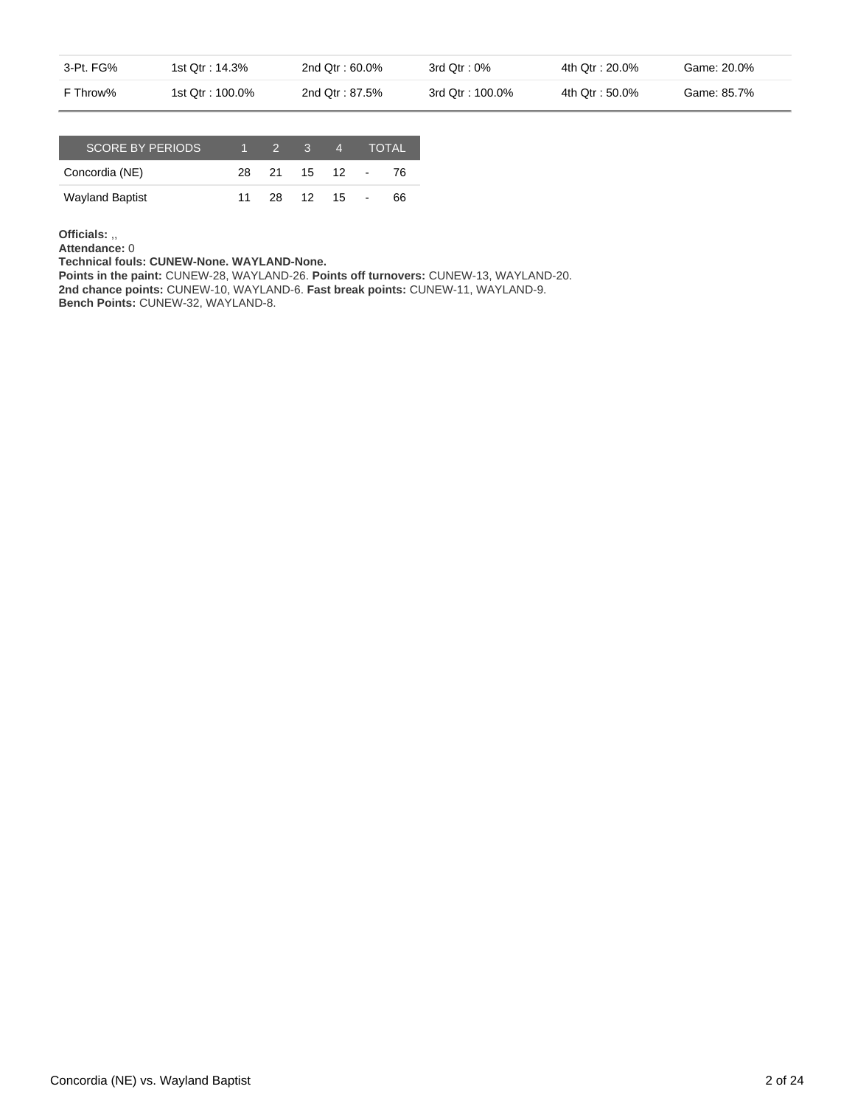| 3-Pt. FG% | 1st Otr : 14.3%  | 2nd $Qtr: 60.0\%$ | 3rd Otr : 0%     | 4th Qtr : 20.0% | Game: 20.0% |
|-----------|------------------|-------------------|------------------|-----------------|-------------|
| F Throw%  | 1st Qtr : 100.0% | 2nd Otr: 87.5%    | 3rd Qtr : 100.0% | 4th Qtr: 50.0%  | Game: 85.7% |

| <b>SCORE BY PERIODS</b> |    | $\mathcal{P}$ | $-3$ | $\overline{4}$ | <b>TOTAL</b> |
|-------------------------|----|---------------|------|----------------|--------------|
| Concordia (NE)          |    | 28 21         |      | 15 12 -        | -76          |
| <b>Wayland Baptist</b>  | 11 | 28. L         | 12   | 15             | 66           |

**Officials:** ,,

**Attendance:** 0

**Technical fouls: CUNEW-None. WAYLAND-None.**

**Points in the paint:** CUNEW-28, WAYLAND-26. **Points off turnovers:** CUNEW-13, WAYLAND-20. **2nd chance points:** CUNEW-10, WAYLAND-6. **Fast break points:** CUNEW-11, WAYLAND-9. **Bench Points:** CUNEW-32, WAYLAND-8.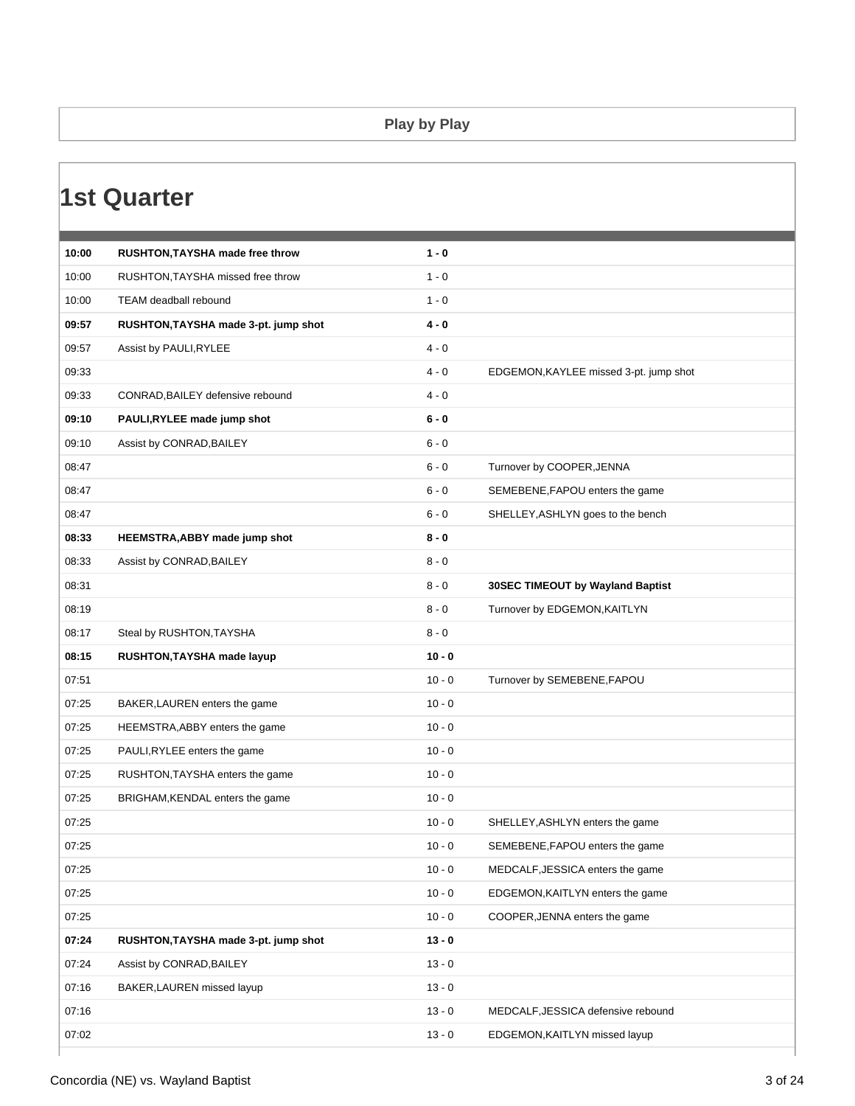### **Play by Play**

|       | 1st Quarter                          |          |                                        |
|-------|--------------------------------------|----------|----------------------------------------|
|       |                                      |          |                                        |
| 10:00 | RUSHTON, TAYSHA made free throw      | $1 - 0$  |                                        |
| 10:00 | RUSHTON, TAYSHA missed free throw    | $1 - 0$  |                                        |
| 10:00 | TEAM deadball rebound                | $1 - 0$  |                                        |
| 09:57 | RUSHTON, TAYSHA made 3-pt. jump shot | $4 - 0$  |                                        |
| 09:57 | Assist by PAULI, RYLEE               | $4 - 0$  |                                        |
| 09:33 |                                      | $4 - 0$  | EDGEMON, KAYLEE missed 3-pt. jump shot |
| 09:33 | CONRAD, BAILEY defensive rebound     | $4 - 0$  |                                        |
| 09:10 | PAULI, RYLEE made jump shot          | $6 - 0$  |                                        |
| 09:10 | Assist by CONRAD, BAILEY             | $6 - 0$  |                                        |
| 08:47 |                                      | $6 - 0$  | Turnover by COOPER, JENNA              |
| 08:47 |                                      | $6 - 0$  | SEMEBENE, FAPOU enters the game        |
| 08:47 |                                      | $6 - 0$  | SHELLEY, ASHLYN goes to the bench      |
| 08:33 | HEEMSTRA, ABBY made jump shot        | $8 - 0$  |                                        |
| 08:33 | Assist by CONRAD, BAILEY             | $8 - 0$  |                                        |
| 08:31 |                                      | $8 - 0$  | 30SEC TIMEOUT by Wayland Baptist       |
| 08:19 |                                      | $8 - 0$  | Turnover by EDGEMON, KAITLYN           |
| 08:17 | Steal by RUSHTON, TAYSHA             | $8 - 0$  |                                        |
| 08:15 | RUSHTON, TAYSHA made layup           | $10 - 0$ |                                        |
| 07:51 |                                      | $10 - 0$ | Turnover by SEMEBENE, FAPOU            |
| 07:25 | BAKER, LAUREN enters the game        | $10 - 0$ |                                        |
| 07:25 | HEEMSTRA, ABBY enters the game       | $10 - 0$ |                                        |
| 07:25 | PAULI, RYLEE enters the game         | $10 - 0$ |                                        |
| 07:25 | RUSHTON, TAYSHA enters the game      | $10 - 0$ |                                        |
| 07:25 | BRIGHAM, KENDAL enters the game      | $10 - 0$ |                                        |
| 07:25 |                                      | $10 - 0$ | SHELLEY, ASHLYN enters the game        |
| 07:25 |                                      | $10 - 0$ | SEMEBENE, FAPOU enters the game        |
| 07:25 |                                      | $10 - 0$ | MEDCALF, JESSICA enters the game       |
| 07:25 |                                      | $10 - 0$ | EDGEMON, KAITLYN enters the game       |
| 07:25 |                                      | $10 - 0$ | COOPER, JENNA enters the game          |
| 07:24 | RUSHTON, TAYSHA made 3-pt. jump shot | $13 - 0$ |                                        |
| 07:24 | Assist by CONRAD, BAILEY             | $13 - 0$ |                                        |
| 07:16 | BAKER, LAUREN missed layup           | $13 - 0$ |                                        |
| 07:16 |                                      | $13 - 0$ | MEDCALF, JESSICA defensive rebound     |
| 07:02 |                                      | $13 - 0$ | EDGEMON, KAITLYN missed layup          |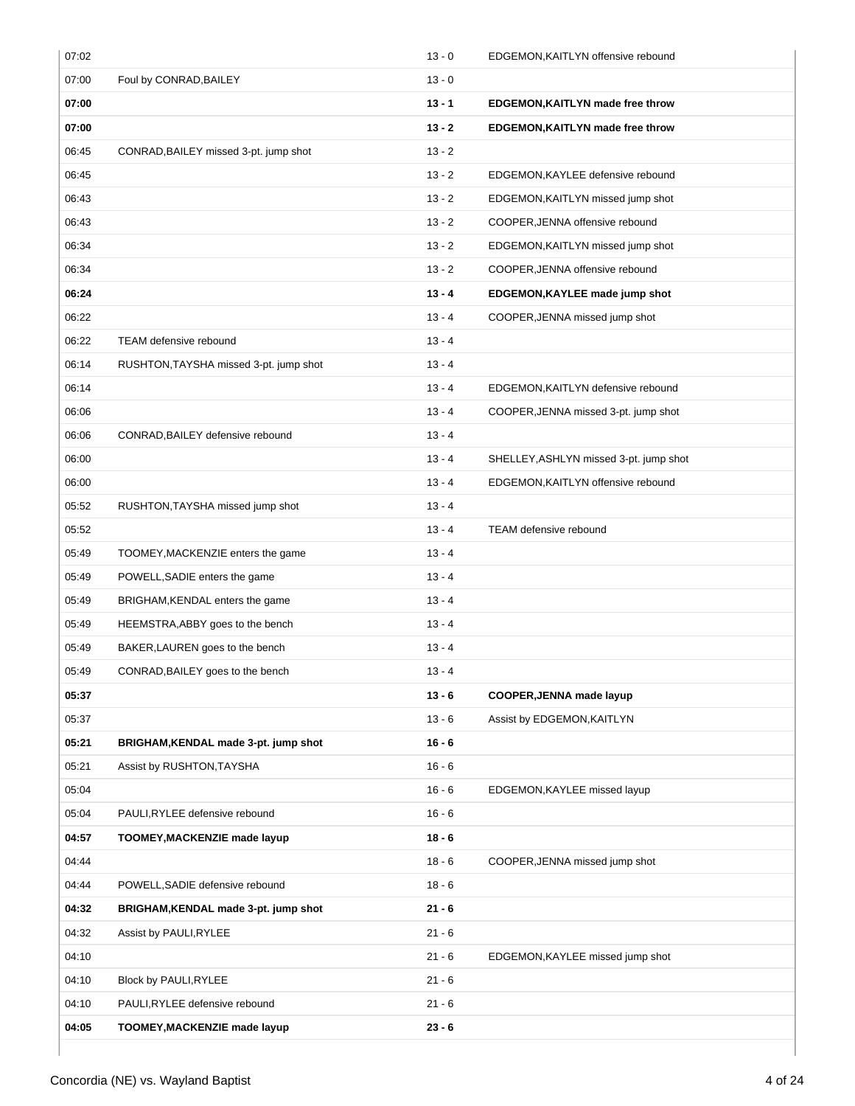| 07:02 |                                        | $13 - 0$ | EDGEMON, KAITLYN offensive rebound     |
|-------|----------------------------------------|----------|----------------------------------------|
| 07:00 | Foul by CONRAD, BAILEY                 | $13 - 0$ |                                        |
| 07:00 |                                        | $13 - 1$ | EDGEMON, KAITLYN made free throw       |
| 07:00 |                                        | $13 - 2$ | EDGEMON, KAITLYN made free throw       |
| 06:45 | CONRAD, BAILEY missed 3-pt. jump shot  | $13 - 2$ |                                        |
| 06:45 |                                        | $13 - 2$ | EDGEMON, KAYLEE defensive rebound      |
| 06:43 |                                        | $13 - 2$ | EDGEMON, KAITLYN missed jump shot      |
| 06:43 |                                        | $13 - 2$ | COOPER, JENNA offensive rebound        |
| 06:34 |                                        | $13 - 2$ | EDGEMON, KAITLYN missed jump shot      |
| 06:34 |                                        | $13 - 2$ | COOPER, JENNA offensive rebound        |
| 06:24 |                                        | $13 - 4$ | EDGEMON, KAYLEE made jump shot         |
| 06:22 |                                        | $13 - 4$ | COOPER, JENNA missed jump shot         |
| 06:22 | TEAM defensive rebound                 | $13 - 4$ |                                        |
| 06:14 | RUSHTON, TAYSHA missed 3-pt. jump shot | $13 - 4$ |                                        |
| 06:14 |                                        | $13 - 4$ | EDGEMON, KAITLYN defensive rebound     |
| 06:06 |                                        | $13 - 4$ | COOPER, JENNA missed 3-pt. jump shot   |
| 06:06 | CONRAD, BAILEY defensive rebound       | $13 - 4$ |                                        |
| 06:00 |                                        | $13 - 4$ | SHELLEY, ASHLYN missed 3-pt. jump shot |
| 06:00 |                                        | $13 - 4$ | EDGEMON, KAITLYN offensive rebound     |
| 05:52 | RUSHTON, TAYSHA missed jump shot       | $13 - 4$ |                                        |
| 05:52 |                                        | $13 - 4$ | TEAM defensive rebound                 |
| 05:49 | TOOMEY, MACKENZIE enters the game      | $13 - 4$ |                                        |
| 05:49 | POWELL, SADIE enters the game          | $13 - 4$ |                                        |
| 05:49 | BRIGHAM, KENDAL enters the game        | $13 - 4$ |                                        |
| 05:49 | HEEMSTRA, ABBY goes to the bench       | $13 - 4$ |                                        |
| 05:49 | BAKER, LAUREN goes to the bench        | $13 - 4$ |                                        |
| 05:49 | CONRAD, BAILEY goes to the bench       | $13 - 4$ |                                        |
| 05:37 |                                        | $13 - 6$ | <b>COOPER, JENNA made layup</b>        |
| 05:37 |                                        | $13 - 6$ | Assist by EDGEMON, KAITLYN             |
| 05:21 | BRIGHAM, KENDAL made 3-pt. jump shot   | $16 - 6$ |                                        |
| 05:21 | Assist by RUSHTON, TAYSHA              | $16 - 6$ |                                        |
| 05:04 |                                        | $16 - 6$ | EDGEMON, KAYLEE missed layup           |
| 05:04 | PAULI, RYLEE defensive rebound         | $16 - 6$ |                                        |
| 04:57 | TOOMEY, MACKENZIE made layup           | $18 - 6$ |                                        |
| 04:44 |                                        | $18 - 6$ | COOPER, JENNA missed jump shot         |
| 04:44 | POWELL, SADIE defensive rebound        | $18 - 6$ |                                        |
| 04:32 | BRIGHAM, KENDAL made 3-pt. jump shot   | $21 - 6$ |                                        |
| 04:32 | Assist by PAULI, RYLEE                 | $21 - 6$ |                                        |
| 04:10 |                                        | $21 - 6$ | EDGEMON, KAYLEE missed jump shot       |
| 04:10 | Block by PAULI, RYLEE                  | $21 - 6$ |                                        |
| 04:10 | PAULI, RYLEE defensive rebound         | $21 - 6$ |                                        |
| 04:05 | TOOMEY, MACKENZIE made layup           | $23 - 6$ |                                        |
|       |                                        |          |                                        |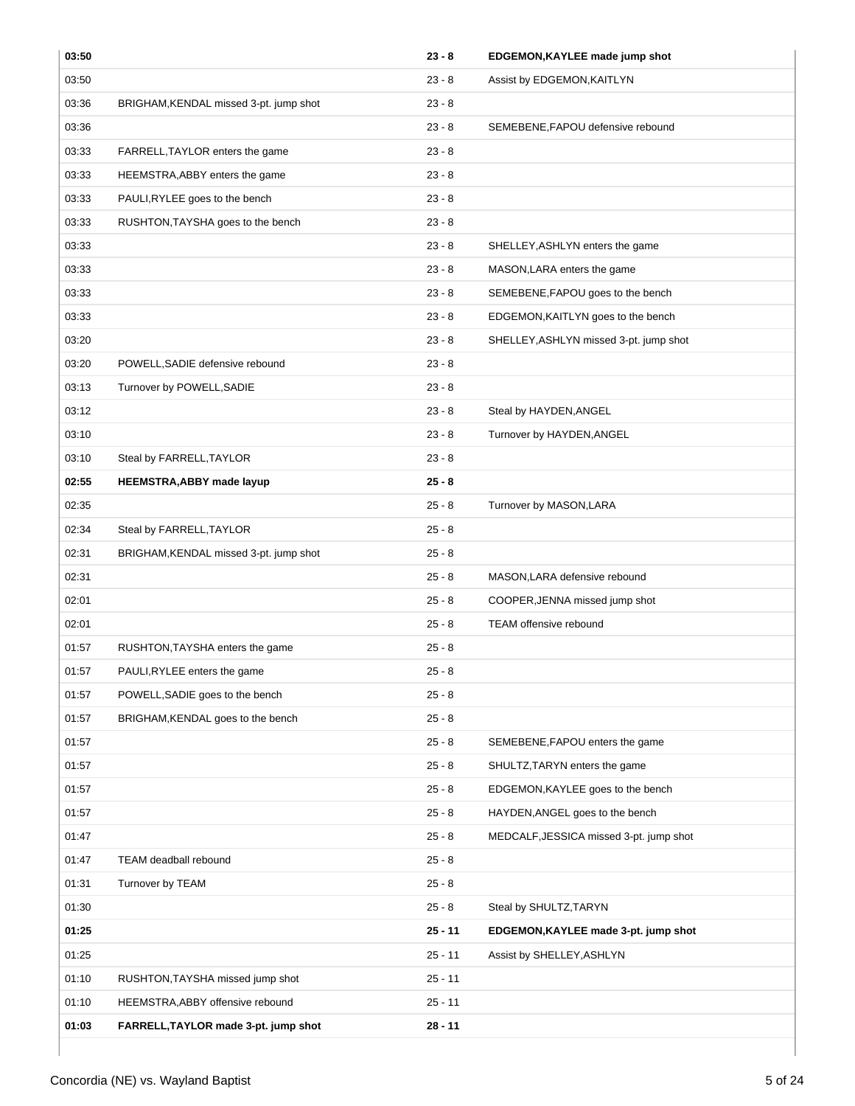| 03:50 |                                        | $23 - 8$  | EDGEMON, KAYLEE made jump shot          |
|-------|----------------------------------------|-----------|-----------------------------------------|
| 03:50 |                                        | $23 - 8$  | Assist by EDGEMON, KAITLYN              |
| 03:36 | BRIGHAM, KENDAL missed 3-pt. jump shot | $23 - 8$  |                                         |
| 03:36 |                                        | $23 - 8$  | SEMEBENE, FAPOU defensive rebound       |
| 03:33 | FARRELL, TAYLOR enters the game        | $23 - 8$  |                                         |
| 03:33 | HEEMSTRA, ABBY enters the game         | $23 - 8$  |                                         |
| 03:33 | PAULI, RYLEE goes to the bench         | $23 - 8$  |                                         |
| 03:33 | RUSHTON, TAYSHA goes to the bench      | $23 - 8$  |                                         |
| 03:33 |                                        | $23 - 8$  | SHELLEY, ASHLYN enters the game         |
| 03:33 |                                        | $23 - 8$  | MASON, LARA enters the game             |
| 03:33 |                                        | $23 - 8$  | SEMEBENE, FAPOU goes to the bench       |
| 03:33 |                                        | $23 - 8$  | EDGEMON, KAITLYN goes to the bench      |
| 03:20 |                                        | $23 - 8$  | SHELLEY, ASHLYN missed 3-pt. jump shot  |
| 03:20 | POWELL, SADIE defensive rebound        | $23 - 8$  |                                         |
| 03:13 | Turnover by POWELL, SADIE              | $23 - 8$  |                                         |
| 03:12 |                                        | $23 - 8$  | Steal by HAYDEN, ANGEL                  |
| 03:10 |                                        | $23 - 8$  | Turnover by HAYDEN, ANGEL               |
| 03:10 | Steal by FARRELL, TAYLOR               | $23 - 8$  |                                         |
| 02:55 | HEEMSTRA, ABBY made layup              | $25 - 8$  |                                         |
| 02:35 |                                        | $25 - 8$  | Turnover by MASON, LARA                 |
| 02:34 | Steal by FARRELL, TAYLOR               | $25 - 8$  |                                         |
| 02:31 | BRIGHAM, KENDAL missed 3-pt. jump shot | $25 - 8$  |                                         |
| 02:31 |                                        | $25 - 8$  | MASON, LARA defensive rebound           |
| 02:01 |                                        | $25 - 8$  | COOPER, JENNA missed jump shot          |
| 02:01 |                                        | $25 - 8$  | <b>TEAM</b> offensive rebound           |
| 01:57 | RUSHTON, TAYSHA enters the game        | $25 - 8$  |                                         |
| 01:57 | PAULI, RYLEE enters the game           | $25 - 8$  |                                         |
| 01:57 | POWELL, SADIE goes to the bench        | $25 - 8$  |                                         |
| 01:57 | BRIGHAM, KENDAL goes to the bench      | $25 - 8$  |                                         |
| 01:57 |                                        | $25 - 8$  | SEMEBENE, FAPOU enters the game         |
| 01:57 |                                        | $25 - 8$  | SHULTZ, TARYN enters the game           |
| 01:57 |                                        | $25 - 8$  | EDGEMON, KAYLEE goes to the bench       |
| 01:57 |                                        | $25 - 8$  | HAYDEN, ANGEL goes to the bench         |
| 01:47 |                                        | $25 - 8$  | MEDCALF, JESSICA missed 3-pt. jump shot |
| 01:47 | TEAM deadball rebound                  | $25 - 8$  |                                         |
| 01:31 | Turnover by TEAM                       | $25 - 8$  |                                         |
| 01:30 |                                        | $25 - 8$  | Steal by SHULTZ, TARYN                  |
| 01:25 |                                        | $25 - 11$ | EDGEMON, KAYLEE made 3-pt. jump shot    |
| 01:25 |                                        | $25 - 11$ | Assist by SHELLEY, ASHLYN               |
| 01:10 | RUSHTON, TAYSHA missed jump shot       | $25 - 11$ |                                         |
| 01:10 | HEEMSTRA, ABBY offensive rebound       | $25 - 11$ |                                         |
| 01:03 | FARRELL, TAYLOR made 3-pt. jump shot   | $28 - 11$ |                                         |

 $\overline{ }$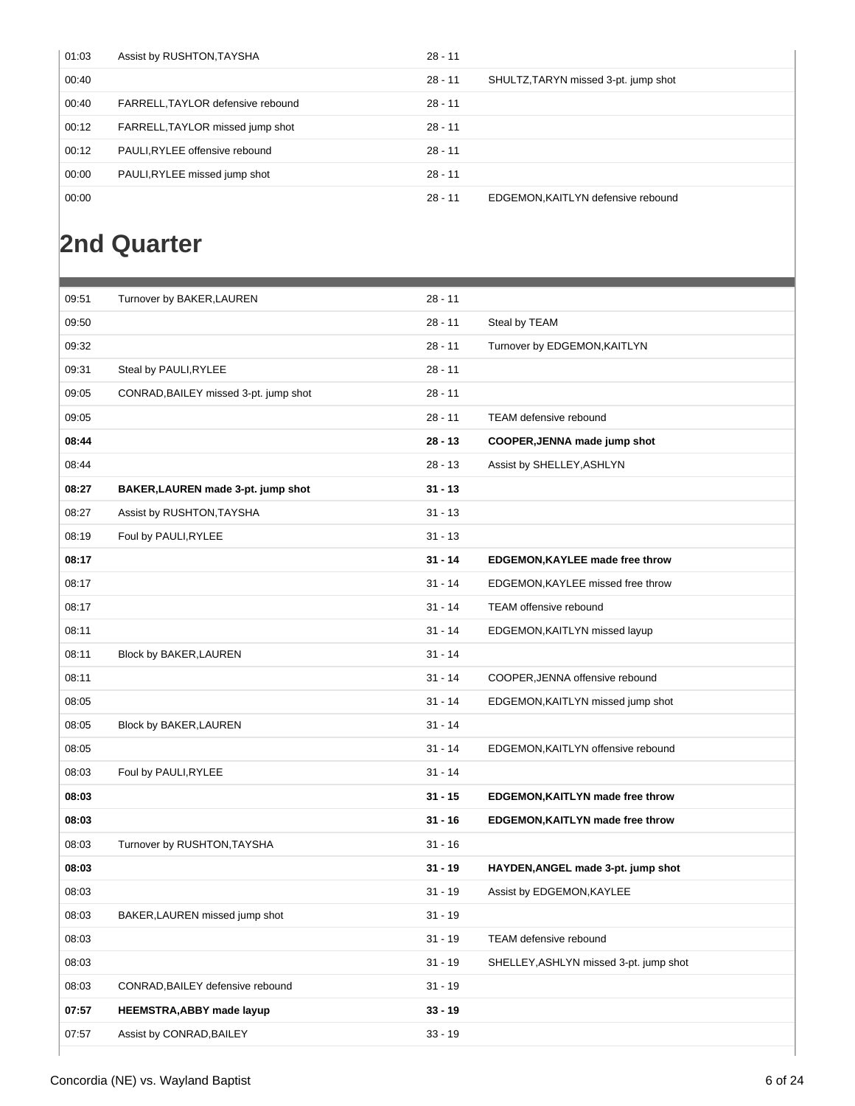| 01:03 | Assist by RUSHTON, TAYSHA         | $28 - 11$ |                                      |
|-------|-----------------------------------|-----------|--------------------------------------|
| 00:40 |                                   | $28 - 11$ | SHULTZ, TARYN missed 3-pt. jump shot |
| 00:40 | FARRELL, TAYLOR defensive rebound | $28 - 11$ |                                      |
| 00:12 | FARRELL, TAYLOR missed jump shot  | $28 - 11$ |                                      |
| 00:12 | PAULI, RYLEE offensive rebound    | $28 - 11$ |                                      |
| 00:00 | PAULI, RYLEE missed jump shot     | $28 - 11$ |                                      |
| 00:00 |                                   | $28 - 11$ | EDGEMON, KAITLYN defensive rebound   |

### **2nd Quarter**

| 09:51 | Turnover by BAKER, LAUREN             | $28 - 11$ |                                        |
|-------|---------------------------------------|-----------|----------------------------------------|
| 09:50 |                                       | $28 - 11$ | Steal by TEAM                          |
| 09:32 |                                       | $28 - 11$ | Turnover by EDGEMON, KAITLYN           |
| 09:31 | Steal by PAULI, RYLEE                 | $28 - 11$ |                                        |
| 09:05 | CONRAD, BAILEY missed 3-pt. jump shot | $28 - 11$ |                                        |
| 09:05 |                                       | $28 - 11$ | TEAM defensive rebound                 |
| 08:44 |                                       | $28 - 13$ | COOPER, JENNA made jump shot           |
| 08:44 |                                       | $28 - 13$ | Assist by SHELLEY, ASHLYN              |
| 08:27 | BAKER, LAUREN made 3-pt. jump shot    | $31 - 13$ |                                        |
| 08:27 | Assist by RUSHTON, TAYSHA             | $31 - 13$ |                                        |
| 08:19 | Foul by PAULI, RYLEE                  | $31 - 13$ |                                        |
| 08:17 |                                       | $31 - 14$ | EDGEMON, KAYLEE made free throw        |
| 08:17 |                                       | $31 - 14$ | EDGEMON, KAYLEE missed free throw      |
| 08:17 |                                       | $31 - 14$ | TEAM offensive rebound                 |
| 08:11 |                                       | $31 - 14$ | EDGEMON, KAITLYN missed layup          |
| 08:11 | Block by BAKER, LAUREN                | $31 - 14$ |                                        |
| 08:11 |                                       | $31 - 14$ | COOPER, JENNA offensive rebound        |
| 08:05 |                                       | $31 - 14$ | EDGEMON, KAITLYN missed jump shot      |
| 08:05 | Block by BAKER, LAUREN                | $31 - 14$ |                                        |
| 08:05 |                                       | $31 - 14$ | EDGEMON, KAITLYN offensive rebound     |
| 08:03 | Foul by PAULI, RYLEE                  | $31 - 14$ |                                        |
| 08:03 |                                       | $31 - 15$ | EDGEMON, KAITLYN made free throw       |
| 08:03 |                                       | $31 - 16$ | EDGEMON, KAITLYN made free throw       |
| 08:03 | Turnover by RUSHTON, TAYSHA           | $31 - 16$ |                                        |
| 08:03 |                                       | $31 - 19$ | HAYDEN, ANGEL made 3-pt. jump shot     |
| 08:03 |                                       | $31 - 19$ | Assist by EDGEMON, KAYLEE              |
| 08:03 | BAKER, LAUREN missed jump shot        | $31 - 19$ |                                        |
| 08:03 |                                       | $31 - 19$ | TEAM defensive rebound                 |
| 08:03 |                                       | $31 - 19$ | SHELLEY, ASHLYN missed 3-pt. jump shot |
| 08:03 | CONRAD, BAILEY defensive rebound      | $31 - 19$ |                                        |
| 07:57 | <b>HEEMSTRA, ABBY made layup</b>      | $33 - 19$ |                                        |
| 07:57 | Assist by CONRAD, BAILEY              | $33 - 19$ |                                        |
|       |                                       |           |                                        |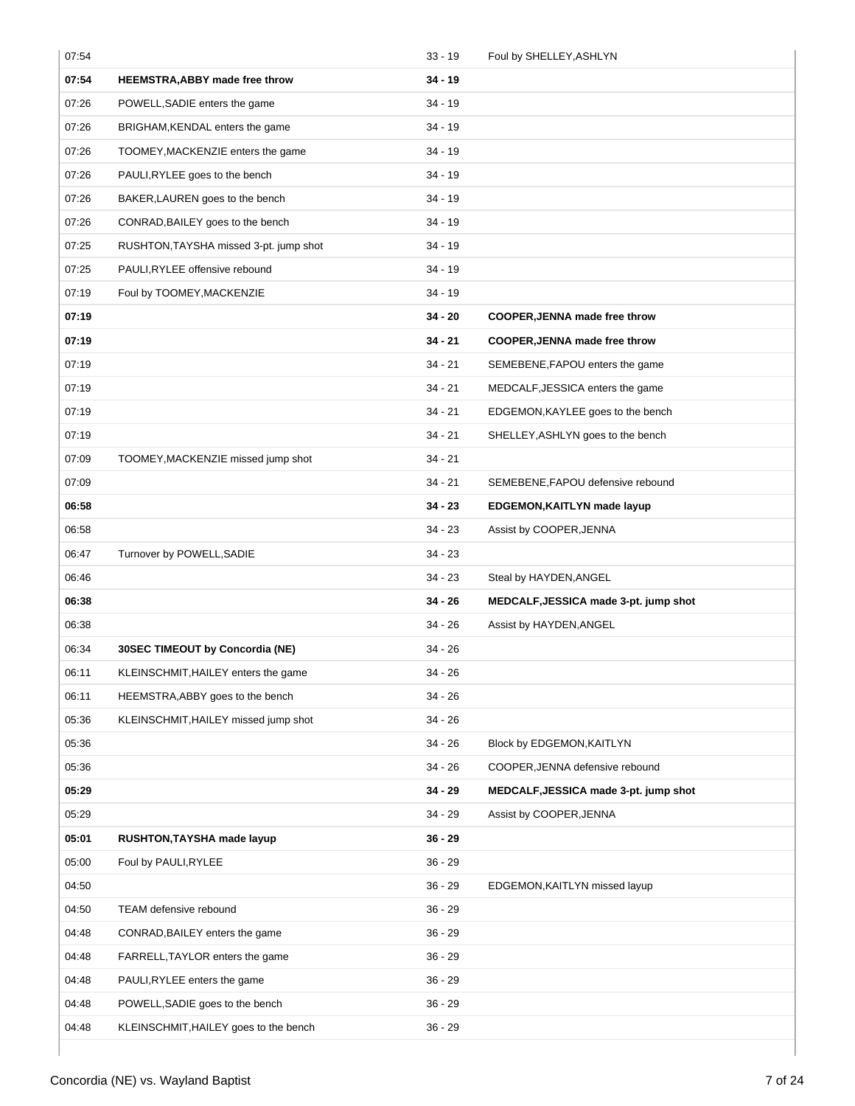| 07:54 |                                        | $33 - 19$ | Foul by SHELLEY, ASHLYN               |
|-------|----------------------------------------|-----------|---------------------------------------|
| 07:54 | <b>HEEMSTRA, ABBY made free throw</b>  | $34 - 19$ |                                       |
| 07:26 | POWELL, SADIE enters the game          | 34 - 19   |                                       |
| 07:26 | BRIGHAM, KENDAL enters the game        | $34 - 19$ |                                       |
| 07:26 | TOOMEY, MACKENZIE enters the game      | 34 - 19   |                                       |
| 07:26 | PAULI, RYLEE goes to the bench         | 34 - 19   |                                       |
| 07:26 | BAKER, LAUREN goes to the bench        | $34 - 19$ |                                       |
| 07:26 | CONRAD, BAILEY goes to the bench       | 34 - 19   |                                       |
| 07:25 | RUSHTON, TAYSHA missed 3-pt. jump shot | 34 - 19   |                                       |
| 07:25 | PAULI, RYLEE offensive rebound         | 34 - 19   |                                       |
| 07:19 | Foul by TOOMEY, MACKENZIE              | 34 - 19   |                                       |
| 07:19 |                                        | 34 - 20   | COOPER, JENNA made free throw         |
| 07:19 |                                        | 34 - 21   | COOPER, JENNA made free throw         |
| 07:19 |                                        | $34 - 21$ | SEMEBENE, FAPOU enters the game       |
| 07:19 |                                        | 34 - 21   | MEDCALF, JESSICA enters the game      |
| 07:19 |                                        | 34 - 21   | EDGEMON, KAYLEE goes to the bench     |
| 07:19 |                                        | 34 - 21   | SHELLEY, ASHLYN goes to the bench     |
| 07:09 | TOOMEY, MACKENZIE missed jump shot     | 34 - 21   |                                       |
| 07:09 |                                        | 34 - 21   | SEMEBENE, FAPOU defensive rebound     |
| 06:58 |                                        | 34 - 23   | EDGEMON, KAITLYN made layup           |
| 06:58 |                                        | $34 - 23$ | Assist by COOPER, JENNA               |
| 06:47 | Turnover by POWELL, SADIE              | 34 - 23   |                                       |
| 06:46 |                                        | 34 - 23   | Steal by HAYDEN, ANGEL                |
| 06:38 |                                        | 34 - 26   | MEDCALF, JESSICA made 3-pt. jump shot |
| 06:38 |                                        | 34 - 26   | Assist by HAYDEN, ANGEL               |
| 06:34 | 30SEC TIMEOUT by Concordia (NE)        | 34 - 26   |                                       |
| 06:11 | KLEINSCHMIT, HAILEY enters the game    | 34 - 26   |                                       |
| 06:11 | HEEMSTRA, ABBY goes to the bench       | 34 - 26   |                                       |
| 05:36 | KLEINSCHMIT, HAILEY missed jump shot   | $34 - 26$ |                                       |
| 05:36 |                                        | $34 - 26$ | Block by EDGEMON, KAITLYN             |
| 05:36 |                                        | 34 - 26   | COOPER, JENNA defensive rebound       |
| 05:29 |                                        | 34 - 29   | MEDCALF, JESSICA made 3-pt. jump shot |
| 05:29 |                                        | 34 - 29   | Assist by COOPER, JENNA               |
| 05:01 | RUSHTON, TAYSHA made layup             | $36 - 29$ |                                       |
| 05:00 | Foul by PAULI, RYLEE                   | $36 - 29$ |                                       |
| 04:50 |                                        | $36 - 29$ | EDGEMON, KAITLYN missed layup         |
| 04:50 | TEAM defensive rebound                 | $36 - 29$ |                                       |
| 04:48 | CONRAD, BAILEY enters the game         | $36 - 29$ |                                       |
| 04:48 | FARRELL, TAYLOR enters the game        | $36 - 29$ |                                       |
| 04:48 | PAULI, RYLEE enters the game           | $36 - 29$ |                                       |
| 04:48 | POWELL, SADIE goes to the bench        | $36 - 29$ |                                       |
| 04:48 | KLEINSCHMIT, HAILEY goes to the bench  | $36 - 29$ |                                       |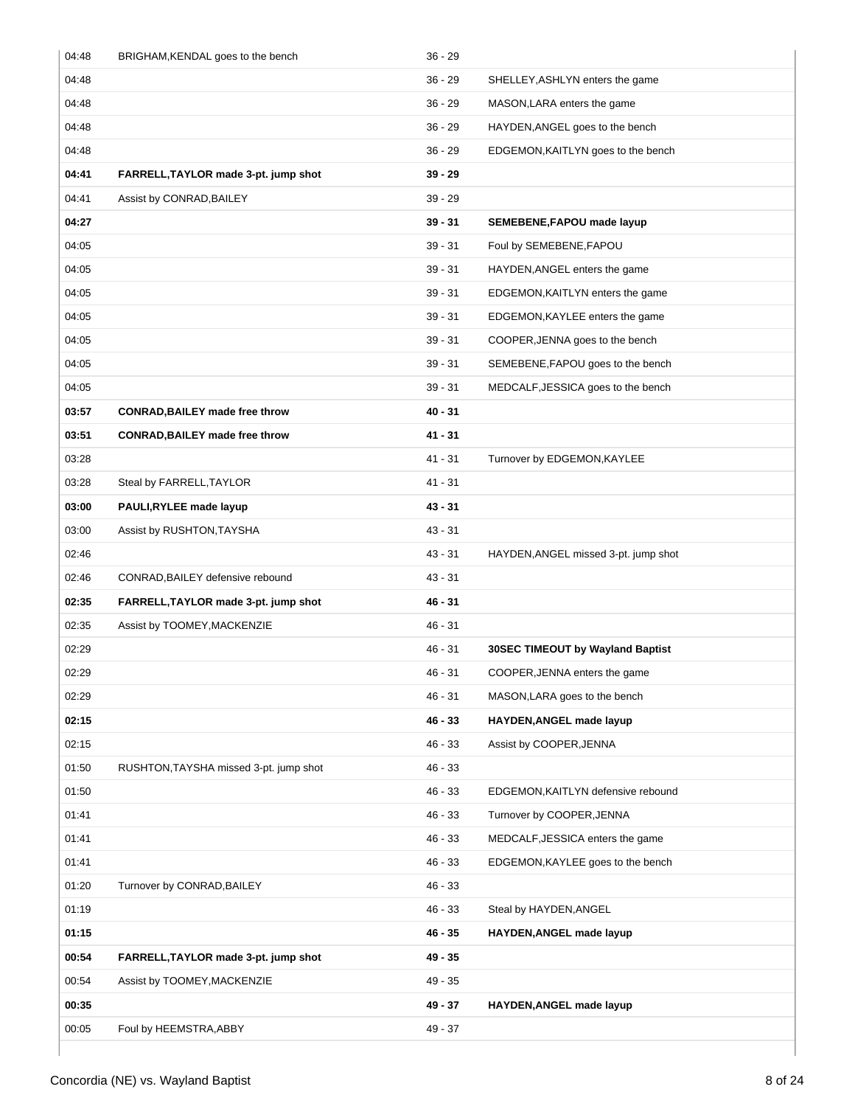| 04:48 | BRIGHAM, KENDAL goes to the bench      | $36 - 29$ |                                      |
|-------|----------------------------------------|-----------|--------------------------------------|
| 04:48 |                                        | $36 - 29$ | SHELLEY, ASHLYN enters the game      |
| 04:48 |                                        | $36 - 29$ | MASON, LARA enters the game          |
| 04:48 |                                        | $36 - 29$ | HAYDEN, ANGEL goes to the bench      |
| 04:48 |                                        | $36 - 29$ | EDGEMON, KAITLYN goes to the bench   |
| 04:41 | FARRELL, TAYLOR made 3-pt. jump shot   | $39 - 29$ |                                      |
| 04:41 | Assist by CONRAD, BAILEY               | $39 - 29$ |                                      |
| 04:27 |                                        | $39 - 31$ | SEMEBENE, FAPOU made layup           |
| 04:05 |                                        | $39 - 31$ | Foul by SEMEBENE, FAPOU              |
| 04:05 |                                        | $39 - 31$ | HAYDEN, ANGEL enters the game        |
| 04:05 |                                        | $39 - 31$ | EDGEMON, KAITLYN enters the game     |
| 04:05 |                                        | $39 - 31$ | EDGEMON, KAYLEE enters the game      |
| 04:05 |                                        | $39 - 31$ | COOPER, JENNA goes to the bench      |
| 04:05 |                                        | $39 - 31$ | SEMEBENE, FAPOU goes to the bench    |
| 04:05 |                                        | $39 - 31$ | MEDCALF, JESSICA goes to the bench   |
| 03:57 | <b>CONRAD, BAILEY made free throw</b>  | $40 - 31$ |                                      |
| 03:51 | <b>CONRAD, BAILEY made free throw</b>  | $41 - 31$ |                                      |
| 03:28 |                                        | $41 - 31$ | Turnover by EDGEMON, KAYLEE          |
| 03:28 | Steal by FARRELL, TAYLOR               | $41 - 31$ |                                      |
| 03:00 | PAULI, RYLEE made layup                | $43 - 31$ |                                      |
| 03:00 | Assist by RUSHTON, TAYSHA              | $43 - 31$ |                                      |
| 02:46 |                                        | $43 - 31$ | HAYDEN, ANGEL missed 3-pt. jump shot |
| 02:46 | CONRAD, BAILEY defensive rebound       | $43 - 31$ |                                      |
| 02:35 | FARRELL, TAYLOR made 3-pt. jump shot   | 46 - 31   |                                      |
| 02:35 | Assist by TOOMEY, MACKENZIE            | $46 - 31$ |                                      |
| 02:29 |                                        | $46 - 31$ | 30SEC TIMEOUT by Wayland Baptist     |
| 02:29 |                                        | 46 - 31   | COOPER. JENNA enters the game        |
| 02:29 |                                        | 46 - 31   | MASON, LARA goes to the bench        |
| 02:15 |                                        | 46 - 33   | HAYDEN, ANGEL made layup             |
| 02:15 |                                        | 46 - 33   | Assist by COOPER, JENNA              |
| 01:50 | RUSHTON, TAYSHA missed 3-pt. jump shot | 46 - 33   |                                      |
| 01:50 |                                        | $46 - 33$ | EDGEMON, KAITLYN defensive rebound   |
| 01:41 |                                        | 46 - 33   | Turnover by COOPER, JENNA            |
| 01:41 |                                        | 46 - 33   | MEDCALF, JESSICA enters the game     |
| 01:41 |                                        | 46 - 33   | EDGEMON, KAYLEE goes to the bench    |
| 01:20 | Turnover by CONRAD, BAILEY             | 46 - 33   |                                      |
| 01:19 |                                        | 46 - 33   | Steal by HAYDEN, ANGEL               |
| 01:15 |                                        | 46 - 35   | HAYDEN, ANGEL made layup             |
| 00:54 | FARRELL, TAYLOR made 3-pt. jump shot   | 49 - 35   |                                      |
| 00:54 | Assist by TOOMEY, MACKENZIE            | 49 - 35   |                                      |
| 00:35 |                                        | 49 - 37   | HAYDEN, ANGEL made layup             |
| 00:05 | Foul by HEEMSTRA, ABBY                 | 49 - 37   |                                      |
|       |                                        |           |                                      |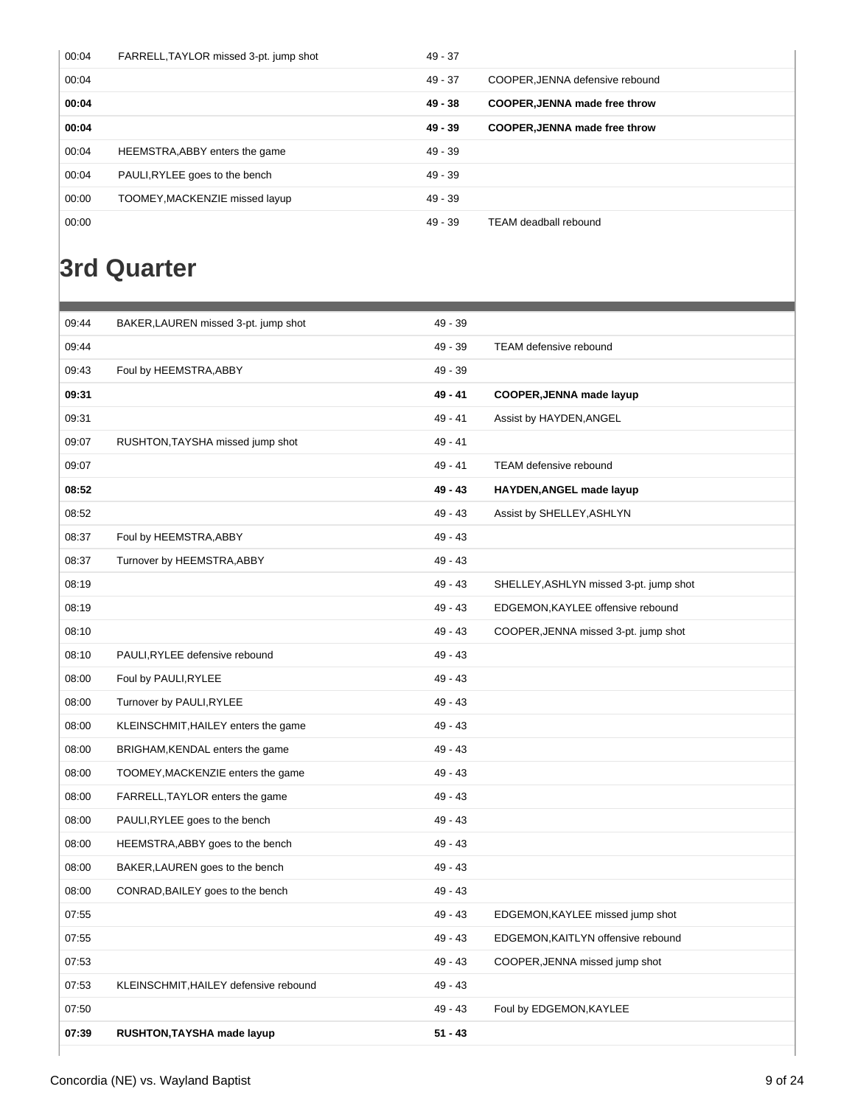| 00:04 | FARRELL, TAYLOR missed 3-pt. jump shot | $49 - 37$ |                                      |
|-------|----------------------------------------|-----------|--------------------------------------|
| 00:04 |                                        | $49 - 37$ | COOPER.JENNA defensive rebound       |
| 00:04 |                                        | $49 - 38$ | <b>COOPER, JENNA made free throw</b> |
| 00:04 |                                        | $49 - 39$ | <b>COOPER, JENNA made free throw</b> |
| 00:04 | HEEMSTRA, ABBY enters the game         | $49 - 39$ |                                      |
| 00:04 | PAULI, RYLEE goes to the bench         | $49 - 39$ |                                      |
| 00:00 | TOOMEY, MACKENZIE missed layup         | $49 - 39$ |                                      |
| 00:00 |                                        | $49 - 39$ | TEAM deadball rebound                |

## **3rd Quarter**

| 09:44 | BAKER, LAUREN missed 3-pt. jump shot  | 49 - 39   |                                        |
|-------|---------------------------------------|-----------|----------------------------------------|
| 09:44 |                                       | 49 - 39   | <b>TEAM defensive rebound</b>          |
| 09:43 | Foul by HEEMSTRA, ABBY                | $49 - 39$ |                                        |
| 09:31 |                                       | 49 - 41   | COOPER, JENNA made layup               |
| 09:31 |                                       | 49 - 41   | Assist by HAYDEN, ANGEL                |
| 09:07 | RUSHTON, TAYSHA missed jump shot      | 49 - 41   |                                        |
| 09:07 |                                       | $49 - 41$ | <b>TEAM defensive rebound</b>          |
| 08:52 |                                       | 49 - 43   | HAYDEN, ANGEL made layup               |
| 08:52 |                                       | 49 - 43   | Assist by SHELLEY, ASHLYN              |
| 08:37 | Foul by HEEMSTRA, ABBY                | 49 - 43   |                                        |
| 08:37 | Turnover by HEEMSTRA, ABBY            | 49 - 43   |                                        |
| 08:19 |                                       | $49 - 43$ | SHELLEY, ASHLYN missed 3-pt. jump shot |
| 08:19 |                                       | 49 - 43   | EDGEMON, KAYLEE offensive rebound      |
| 08:10 |                                       | $49 - 43$ | COOPER, JENNA missed 3-pt. jump shot   |
| 08:10 | PAULI, RYLEE defensive rebound        | $49 - 43$ |                                        |
| 08:00 | Foul by PAULI, RYLEE                  | $49 - 43$ |                                        |
| 08:00 | Turnover by PAULI, RYLEE              | $49 - 43$ |                                        |
| 08:00 | KLEINSCHMIT, HAILEY enters the game   | 49 - 43   |                                        |
| 08:00 | BRIGHAM, KENDAL enters the game       | $49 - 43$ |                                        |
| 08:00 | TOOMEY, MACKENZIE enters the game     | $49 - 43$ |                                        |
| 08:00 | FARRELL, TAYLOR enters the game       | 49 - 43   |                                        |
| 08:00 | PAULI, RYLEE goes to the bench        | $49 - 43$ |                                        |
| 08:00 | HEEMSTRA, ABBY goes to the bench      | $49 - 43$ |                                        |
| 08:00 | BAKER, LAUREN goes to the bench       | 49 - 43   |                                        |
| 08:00 | CONRAD, BAILEY goes to the bench      | 49 - 43   |                                        |
| 07:55 |                                       | 49 - 43   | EDGEMON, KAYLEE missed jump shot       |
| 07:55 |                                       | 49 - 43   | EDGEMON, KAITLYN offensive rebound     |
| 07:53 |                                       | $49 - 43$ | COOPER, JENNA missed jump shot         |
| 07:53 | KLEINSCHMIT, HAILEY defensive rebound | $49 - 43$ |                                        |
| 07:50 |                                       | 49 - 43   | Foul by EDGEMON, KAYLEE                |
| 07:39 | RUSHTON, TAYSHA made layup            | $51 - 43$ |                                        |
|       |                                       |           |                                        |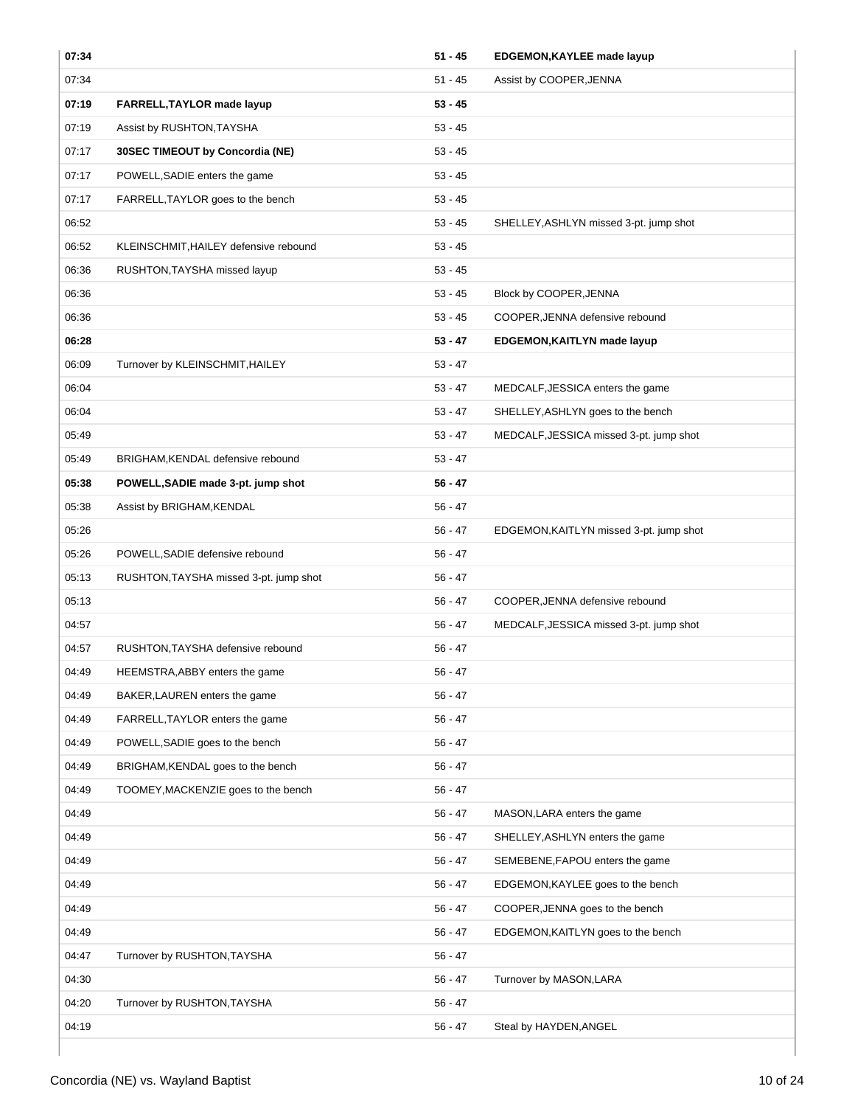| 07:34 |                                        | $51 - 45$ | EDGEMON, KAYLEE made layup              |
|-------|----------------------------------------|-----------|-----------------------------------------|
| 07:34 |                                        | $51 - 45$ | Assist by COOPER, JENNA                 |
| 07:19 | FARRELL, TAYLOR made layup             | $53 - 45$ |                                         |
| 07:19 | Assist by RUSHTON, TAYSHA              | $53 - 45$ |                                         |
| 07:17 | 30SEC TIMEOUT by Concordia (NE)        | $53 - 45$ |                                         |
| 07:17 | POWELL, SADIE enters the game          | $53 - 45$ |                                         |
| 07:17 | FARRELL, TAYLOR goes to the bench      | $53 - 45$ |                                         |
| 06:52 |                                        | $53 - 45$ | SHELLEY, ASHLYN missed 3-pt. jump shot  |
| 06:52 | KLEINSCHMIT, HAILEY defensive rebound  | $53 - 45$ |                                         |
| 06:36 | RUSHTON, TAYSHA missed layup           | $53 - 45$ |                                         |
| 06:36 |                                        | $53 - 45$ | Block by COOPER, JENNA                  |
| 06:36 |                                        | $53 - 45$ | COOPER, JENNA defensive rebound         |
| 06:28 |                                        | $53 - 47$ | EDGEMON, KAITLYN made layup             |
| 06:09 | Turnover by KLEINSCHMIT, HAILEY        | $53 - 47$ |                                         |
| 06:04 |                                        | $53 - 47$ | MEDCALF, JESSICA enters the game        |
| 06:04 |                                        | $53 - 47$ | SHELLEY, ASHLYN goes to the bench       |
| 05:49 |                                        | $53 - 47$ | MEDCALF, JESSICA missed 3-pt. jump shot |
| 05:49 | BRIGHAM, KENDAL defensive rebound      | $53 - 47$ |                                         |
| 05:38 | POWELL, SADIE made 3-pt. jump shot     | $56 - 47$ |                                         |
| 05:38 | Assist by BRIGHAM, KENDAL              | $56 - 47$ |                                         |
| 05:26 |                                        | $56 - 47$ | EDGEMON, KAITLYN missed 3-pt. jump shot |
| 05:26 | POWELL, SADIE defensive rebound        | $56 - 47$ |                                         |
| 05:13 | RUSHTON, TAYSHA missed 3-pt. jump shot | $56 - 47$ |                                         |
| 05:13 |                                        | $56 - 47$ | COOPER, JENNA defensive rebound         |
| 04:57 |                                        | $56 - 47$ | MEDCALF, JESSICA missed 3-pt. jump shot |
| 04:57 | RUSHTON, TAYSHA defensive rebound      | $56 - 47$ |                                         |
| 04:49 | HEEMSTRA, ABBY enters the game         | 56 - 47   |                                         |
| 04:49 | BAKER, LAUREN enters the game          | $56 - 47$ |                                         |
| 04:49 | FARRELL, TAYLOR enters the game        | $56 - 47$ |                                         |
| 04:49 | POWELL, SADIE goes to the bench        | $56 - 47$ |                                         |
| 04:49 | BRIGHAM, KENDAL goes to the bench      | $56 - 47$ |                                         |
| 04:49 | TOOMEY, MACKENZIE goes to the bench    | 56 - 47   |                                         |
| 04:49 |                                        | 56 - 47   | MASON, LARA enters the game             |
| 04:49 |                                        | $56 - 47$ | SHELLEY, ASHLYN enters the game         |
| 04:49 |                                        | $56 - 47$ | SEMEBENE, FAPOU enters the game         |
| 04:49 |                                        | $56 - 47$ | EDGEMON, KAYLEE goes to the bench       |
| 04:49 |                                        | $56 - 47$ | COOPER, JENNA goes to the bench         |
| 04:49 |                                        | $56 - 47$ | EDGEMON, KAITLYN goes to the bench      |
| 04:47 | Turnover by RUSHTON, TAYSHA            | $56 - 47$ |                                         |
| 04:30 |                                        | 56 - 47   | Turnover by MASON, LARA                 |
| 04:20 | Turnover by RUSHTON, TAYSHA            | $56 - 47$ |                                         |
| 04:19 |                                        | $56 - 47$ | Steal by HAYDEN, ANGEL                  |
|       |                                        |           |                                         |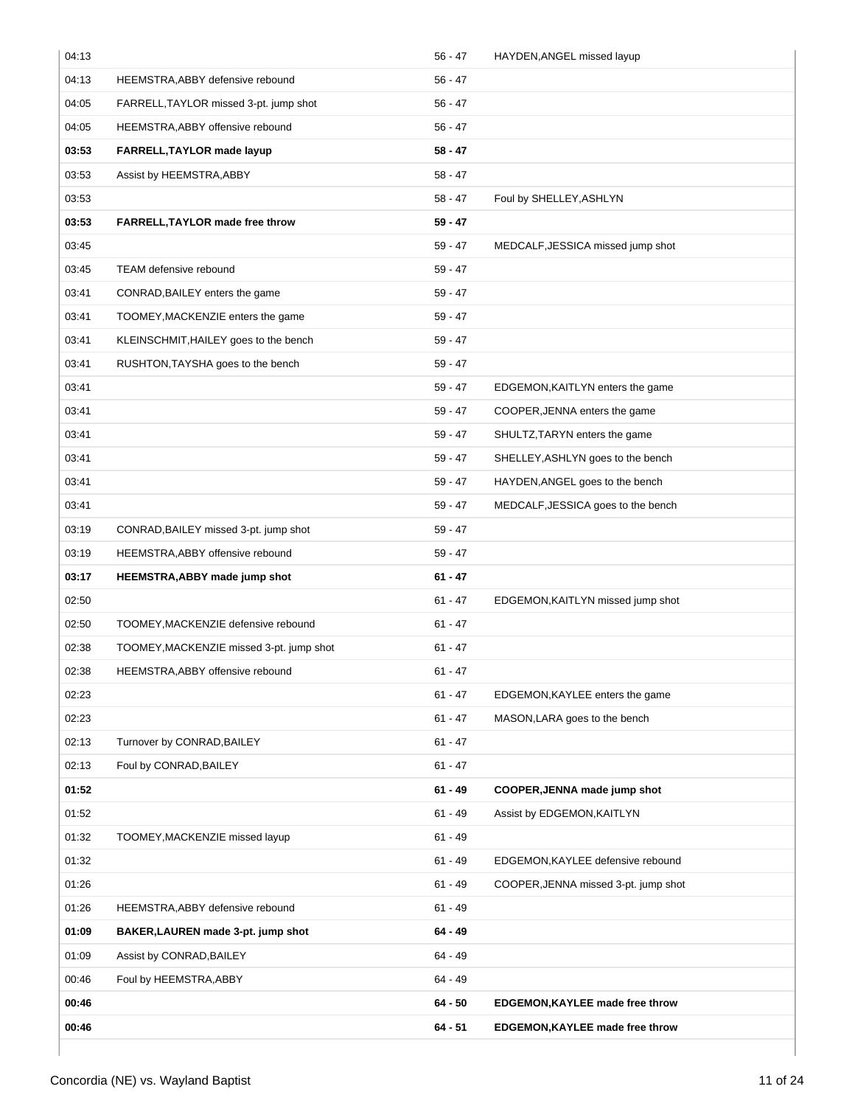| 04:13 |                                          | $56 - 47$ | HAYDEN, ANGEL missed layup           |
|-------|------------------------------------------|-----------|--------------------------------------|
| 04:13 | HEEMSTRA, ABBY defensive rebound         | $56 - 47$ |                                      |
| 04:05 | FARRELL, TAYLOR missed 3-pt. jump shot   | $56 - 47$ |                                      |
| 04:05 | HEEMSTRA, ABBY offensive rebound         | $56 - 47$ |                                      |
| 03:53 | FARRELL, TAYLOR made layup               | $58 - 47$ |                                      |
| 03:53 | Assist by HEEMSTRA, ABBY                 | $58 - 47$ |                                      |
| 03:53 |                                          | $58 - 47$ | Foul by SHELLEY, ASHLYN              |
| 03:53 | FARRELL, TAYLOR made free throw          | $59 - 47$ |                                      |
| 03:45 |                                          | $59 - 47$ | MEDCALF, JESSICA missed jump shot    |
| 03:45 | TEAM defensive rebound                   | 59 - 47   |                                      |
| 03:41 | CONRAD, BAILEY enters the game           | $59 - 47$ |                                      |
| 03:41 | TOOMEY, MACKENZIE enters the game        | $59 - 47$ |                                      |
| 03:41 | KLEINSCHMIT, HAILEY goes to the bench    | 59 - 47   |                                      |
| 03:41 | RUSHTON, TAYSHA goes to the bench        | 59 - 47   |                                      |
| 03:41 |                                          | $59 - 47$ | EDGEMON, KAITLYN enters the game     |
| 03:41 |                                          | $59 - 47$ | COOPER, JENNA enters the game        |
| 03:41 |                                          | 59 - 47   | SHULTZ, TARYN enters the game        |
| 03:41 |                                          | $59 - 47$ | SHELLEY, ASHLYN goes to the bench    |
| 03:41 |                                          | 59 - 47   | HAYDEN, ANGEL goes to the bench      |
| 03:41 |                                          | $59 - 47$ | MEDCALF, JESSICA goes to the bench   |
| 03:19 | CONRAD, BAILEY missed 3-pt. jump shot    | $59 - 47$ |                                      |
| 03:19 | HEEMSTRA, ABBY offensive rebound         | $59 - 47$ |                                      |
| 03:17 | HEEMSTRA, ABBY made jump shot            | $61 - 47$ |                                      |
| 02:50 |                                          | $61 - 47$ | EDGEMON, KAITLYN missed jump shot    |
| 02:50 | TOOMEY, MACKENZIE defensive rebound      | $61 - 47$ |                                      |
| 02:38 | TOOMEY, MACKENZIE missed 3-pt. jump shot | $61 - 47$ |                                      |
| 02:38 | HEEMSTRA, ABBY offensive rebound         | $61 - 47$ |                                      |
| 02:23 |                                          | $61 - 47$ | EDGEMON, KAYLEE enters the game      |
| 02:23 |                                          | $61 - 47$ | MASON, LARA goes to the bench        |
| 02:13 | Turnover by CONRAD, BAILEY               | $61 - 47$ |                                      |
| 02:13 | Foul by CONRAD, BAILEY                   | $61 - 47$ |                                      |
| 01:52 |                                          | $61 - 49$ | COOPER, JENNA made jump shot         |
| 01:52 |                                          | $61 - 49$ | Assist by EDGEMON, KAITLYN           |
| 01:32 | TOOMEY, MACKENZIE missed layup           | $61 - 49$ |                                      |
| 01:32 |                                          | $61 - 49$ | EDGEMON, KAYLEE defensive rebound    |
| 01:26 |                                          | $61 - 49$ | COOPER, JENNA missed 3-pt. jump shot |
| 01:26 | HEEMSTRA, ABBY defensive rebound         | $61 - 49$ |                                      |
| 01:09 | BAKER, LAUREN made 3-pt. jump shot       | $64 - 49$ |                                      |
| 01:09 | Assist by CONRAD, BAILEY                 | $64 - 49$ |                                      |
| 00:46 | Foul by HEEMSTRA, ABBY                   | $64 - 49$ |                                      |
| 00:46 |                                          | $64 - 50$ | EDGEMON, KAYLEE made free throw      |
| 00:46 |                                          | $64 - 51$ | EDGEMON, KAYLEE made free throw      |
|       |                                          |           |                                      |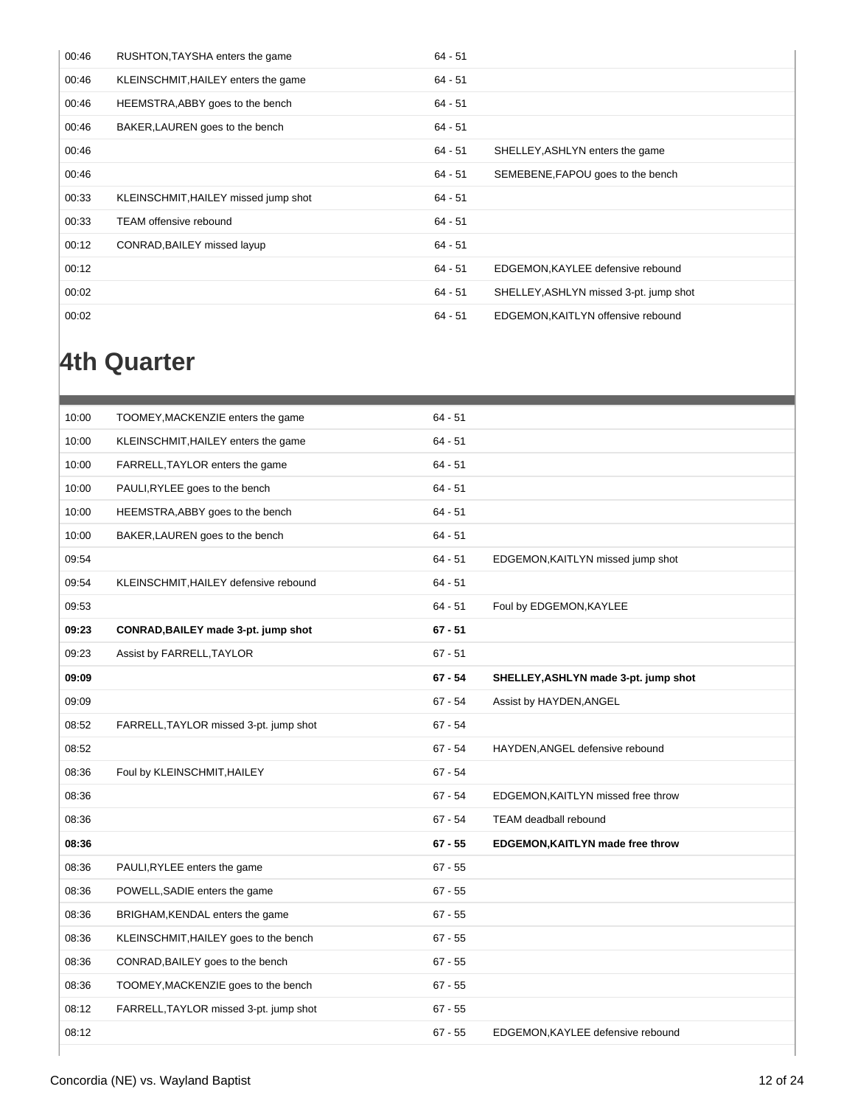| 00:46 | RUSHTON, TAYSHA enters the game      | $64 - 51$ |                                        |
|-------|--------------------------------------|-----------|----------------------------------------|
| 00:46 | KLEINSCHMIT, HAILEY enters the game  | $64 - 51$ |                                        |
| 00:46 | HEEMSTRA, ABBY goes to the bench     | $64 - 51$ |                                        |
| 00:46 | BAKER, LAUREN goes to the bench      | $64 - 51$ |                                        |
| 00:46 |                                      | 64 - 51   | SHELLEY, ASHLYN enters the game        |
| 00:46 |                                      | 64 - 51   | SEMEBENE, FAPOU goes to the bench      |
|       |                                      |           |                                        |
| 00:33 | KLEINSCHMIT, HAILEY missed jump shot | $64 - 51$ |                                        |
| 00:33 | <b>TEAM offensive rebound</b>        | $64 - 51$ |                                        |
| 00:12 | CONRAD, BAILEY missed layup          | $64 - 51$ |                                        |
| 00:12 |                                      | 64 - 51   | EDGEMON, KAYLEE defensive rebound      |
| 00:02 |                                      | 64 - 51   | SHELLEY, ASHLYN missed 3-pt. jump shot |

## **4th Quarter**

| 10:00 | TOOMEY, MACKENZIE enters the game      | $64 - 51$ |                                      |
|-------|----------------------------------------|-----------|--------------------------------------|
| 10:00 | KLEINSCHMIT, HAILEY enters the game    | $64 - 51$ |                                      |
| 10:00 | FARRELL, TAYLOR enters the game        | $64 - 51$ |                                      |
| 10:00 | PAULI, RYLEE goes to the bench         | $64 - 51$ |                                      |
| 10:00 | HEEMSTRA, ABBY goes to the bench       | $64 - 51$ |                                      |
| 10:00 | BAKER, LAUREN goes to the bench        | $64 - 51$ |                                      |
| 09:54 |                                        | $64 - 51$ | EDGEMON, KAITLYN missed jump shot    |
| 09:54 | KLEINSCHMIT, HAILEY defensive rebound  | $64 - 51$ |                                      |
| 09:53 |                                        | $64 - 51$ | Foul by EDGEMON, KAYLEE              |
| 09:23 | CONRAD, BAILEY made 3-pt. jump shot    | $67 - 51$ |                                      |
| 09:23 | Assist by FARRELL, TAYLOR              | $67 - 51$ |                                      |
| 09:09 |                                        | $67 - 54$ | SHELLEY, ASHLYN made 3-pt. jump shot |
| 09:09 |                                        | $67 - 54$ | Assist by HAYDEN, ANGEL              |
| 08:52 | FARRELL, TAYLOR missed 3-pt. jump shot | $67 - 54$ |                                      |
| 08:52 |                                        | $67 - 54$ | HAYDEN, ANGEL defensive rebound      |
| 08:36 | Foul by KLEINSCHMIT, HAILEY            | $67 - 54$ |                                      |
| 08:36 |                                        | $67 - 54$ | EDGEMON, KAITLYN missed free throw   |
| 08:36 |                                        | $67 - 54$ | TEAM deadball rebound                |
| 08:36 |                                        | $67 - 55$ | EDGEMON, KAITLYN made free throw     |
| 08:36 | PAULI, RYLEE enters the game           | $67 - 55$ |                                      |
| 08:36 | POWELL, SADIE enters the game          | $67 - 55$ |                                      |
| 08:36 | BRIGHAM, KENDAL enters the game        | $67 - 55$ |                                      |
| 08:36 | KLEINSCHMIT, HAILEY goes to the bench  | $67 - 55$ |                                      |
| 08:36 | CONRAD, BAILEY goes to the bench       | $67 - 55$ |                                      |
| 08:36 | TOOMEY, MACKENZIE goes to the bench    | $67 - 55$ |                                      |
| 08:12 | FARRELL, TAYLOR missed 3-pt. jump shot | $67 - 55$ |                                      |
| 08:12 |                                        | $67 - 55$ | EDGEMON, KAYLEE defensive rebound    |
|       |                                        |           |                                      |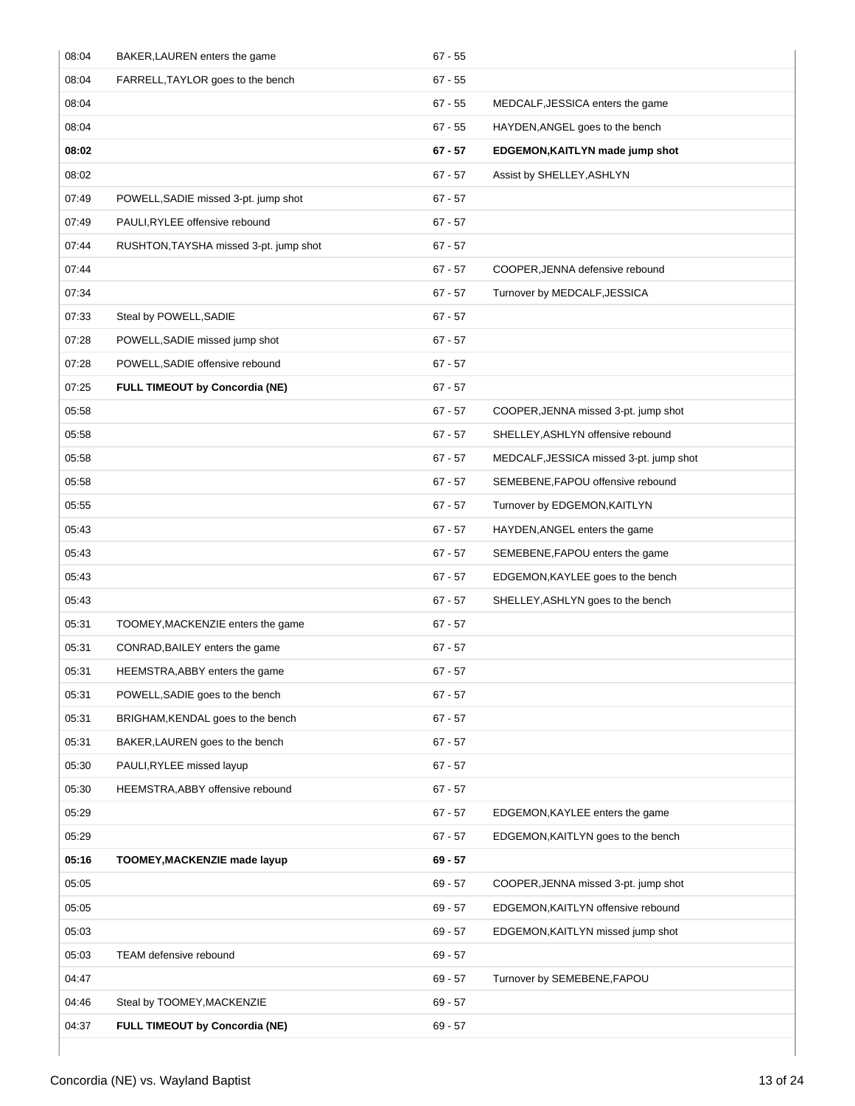| 08:04 | BAKER, LAUREN enters the game          | $67 - 55$ |                                         |
|-------|----------------------------------------|-----------|-----------------------------------------|
| 08:04 | FARRELL, TAYLOR goes to the bench      | $67 - 55$ |                                         |
| 08:04 |                                        | $67 - 55$ | MEDCALF, JESSICA enters the game        |
| 08:04 |                                        | $67 - 55$ | HAYDEN, ANGEL goes to the bench         |
| 08:02 |                                        | $67 - 57$ | EDGEMON, KAITLYN made jump shot         |
| 08:02 |                                        | $67 - 57$ | Assist by SHELLEY, ASHLYN               |
| 07:49 | POWELL, SADIE missed 3-pt. jump shot   | $67 - 57$ |                                         |
| 07:49 | PAULI, RYLEE offensive rebound         | $67 - 57$ |                                         |
| 07:44 | RUSHTON, TAYSHA missed 3-pt. jump shot | $67 - 57$ |                                         |
| 07:44 |                                        | $67 - 57$ | COOPER, JENNA defensive rebound         |
| 07:34 |                                        | $67 - 57$ | Turnover by MEDCALF, JESSICA            |
| 07:33 | Steal by POWELL, SADIE                 | $67 - 57$ |                                         |
| 07:28 | POWELL, SADIE missed jump shot         | $67 - 57$ |                                         |
| 07:28 | POWELL, SADIE offensive rebound        | $67 - 57$ |                                         |
| 07:25 | <b>FULL TIMEOUT by Concordia (NE)</b>  | $67 - 57$ |                                         |
| 05:58 |                                        | $67 - 57$ | COOPER, JENNA missed 3-pt. jump shot    |
| 05:58 |                                        | $67 - 57$ | SHELLEY, ASHLYN offensive rebound       |
| 05:58 |                                        | $67 - 57$ | MEDCALF, JESSICA missed 3-pt. jump shot |
| 05:58 |                                        | $67 - 57$ | SEMEBENE, FAPOU offensive rebound       |
| 05:55 |                                        | $67 - 57$ | Turnover by EDGEMON, KAITLYN            |
| 05:43 |                                        | $67 - 57$ | HAYDEN, ANGEL enters the game           |
| 05:43 |                                        | $67 - 57$ | SEMEBENE, FAPOU enters the game         |
| 05:43 |                                        | $67 - 57$ | EDGEMON, KAYLEE goes to the bench       |
| 05:43 |                                        | $67 - 57$ | SHELLEY, ASHLYN goes to the bench       |
| 05:31 | TOOMEY, MACKENZIE enters the game      | $67 - 57$ |                                         |
| 05:31 | CONRAD, BAILEY enters the game         | $67 - 57$ |                                         |
| 05:31 | HEEMSTRA, ABBY enters the game         | $67 - 57$ |                                         |
| 05:31 | POWELL, SADIE goes to the bench        | $67 - 57$ |                                         |
| 05:31 | BRIGHAM, KENDAL goes to the bench      | $67 - 57$ |                                         |
| 05:31 | BAKER, LAUREN goes to the bench        | $67 - 57$ |                                         |
| 05:30 | PAULI, RYLEE missed layup              | $67 - 57$ |                                         |
| 05:30 | HEEMSTRA, ABBY offensive rebound       | $67 - 57$ |                                         |
| 05:29 |                                        | $67 - 57$ | EDGEMON, KAYLEE enters the game         |
| 05:29 |                                        | $67 - 57$ | EDGEMON, KAITLYN goes to the bench      |
| 05:16 | TOOMEY, MACKENZIE made layup           | $69 - 57$ |                                         |
| 05:05 |                                        | 69 - 57   | COOPER, JENNA missed 3-pt. jump shot    |
| 05:05 |                                        | 69 - 57   | EDGEMON, KAITLYN offensive rebound      |
| 05:03 |                                        | 69 - 57   | EDGEMON, KAITLYN missed jump shot       |
| 05:03 | TEAM defensive rebound                 | 69 - 57   |                                         |
| 04:47 |                                        | 69 - 57   | Turnover by SEMEBENE, FAPOU             |
| 04:46 | Steal by TOOMEY, MACKENZIE             | $69 - 57$ |                                         |
| 04:37 | FULL TIMEOUT by Concordia (NE)         | 69 - 57   |                                         |
|       |                                        |           |                                         |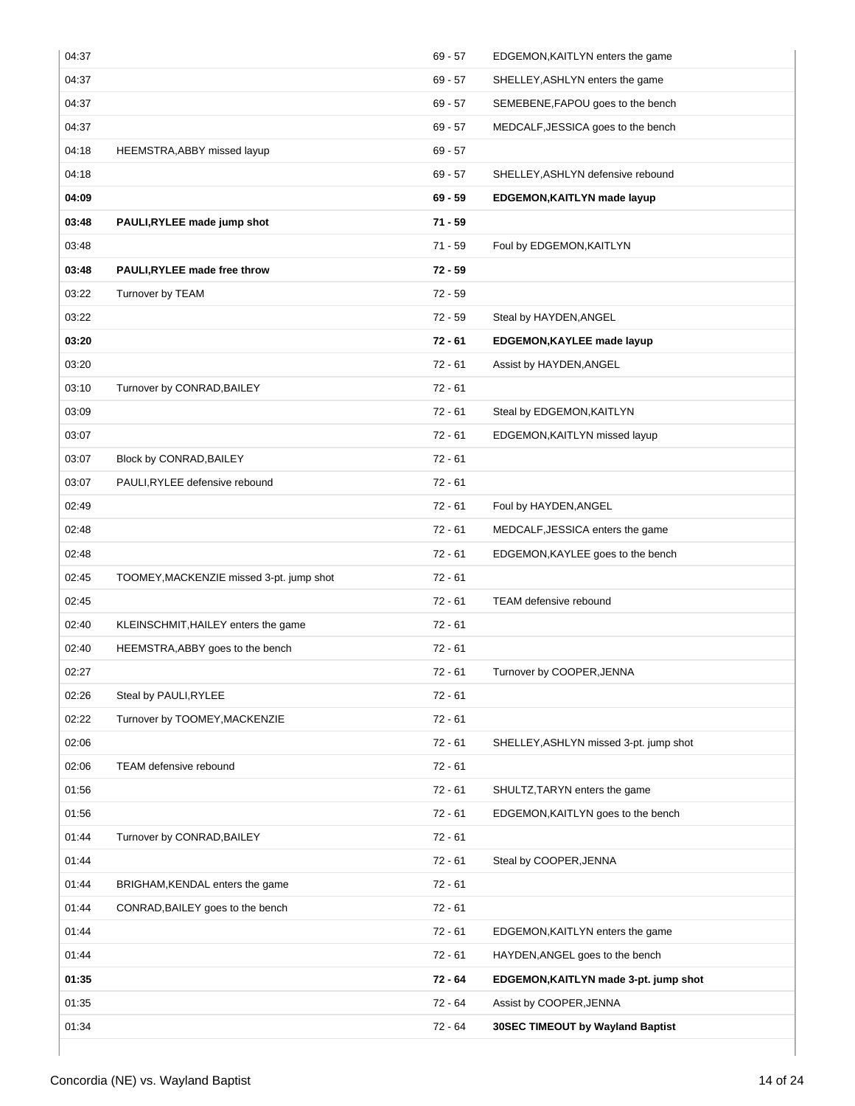| 04:37 |                                          | $69 - 57$ | EDGEMON, KAITLYN enters the game       |
|-------|------------------------------------------|-----------|----------------------------------------|
| 04:37 |                                          | $69 - 57$ | SHELLEY, ASHLYN enters the game        |
| 04:37 |                                          | $69 - 57$ | SEMEBENE, FAPOU goes to the bench      |
| 04:37 |                                          | $69 - 57$ | MEDCALF, JESSICA goes to the bench     |
| 04:18 | HEEMSTRA, ABBY missed layup              | $69 - 57$ |                                        |
| 04:18 |                                          | $69 - 57$ | SHELLEY, ASHLYN defensive rebound      |
| 04:09 |                                          | $69 - 59$ | EDGEMON, KAITLYN made layup            |
| 03:48 | PAULI, RYLEE made jump shot              | $71 - 59$ |                                        |
| 03:48 |                                          | 71 - 59   | Foul by EDGEMON, KAITLYN               |
| 03:48 | <b>PAULI,RYLEE made free throw</b>       | $72 - 59$ |                                        |
| 03:22 | Turnover by TEAM                         | $72 - 59$ |                                        |
| 03:22 |                                          | $72 - 59$ | Steal by HAYDEN, ANGEL                 |
| 03:20 |                                          | $72 - 61$ | <b>EDGEMON, KAYLEE made layup</b>      |
| 03:20 |                                          | $72 - 61$ | Assist by HAYDEN, ANGEL                |
| 03:10 | Turnover by CONRAD, BAILEY               | $72 - 61$ |                                        |
| 03:09 |                                          | $72 - 61$ | Steal by EDGEMON, KAITLYN              |
| 03:07 |                                          | $72 - 61$ | EDGEMON, KAITLYN missed layup          |
| 03:07 | Block by CONRAD, BAILEY                  | $72 - 61$ |                                        |
| 03:07 | PAULI, RYLEE defensive rebound           | $72 - 61$ |                                        |
| 02:49 |                                          | $72 - 61$ | Foul by HAYDEN, ANGEL                  |
| 02:48 |                                          | $72 - 61$ | MEDCALF, JESSICA enters the game       |
| 02:48 |                                          | $72 - 61$ | EDGEMON, KAYLEE goes to the bench      |
| 02:45 | TOOMEY, MACKENZIE missed 3-pt. jump shot | $72 - 61$ |                                        |
| 02:45 |                                          | $72 - 61$ | TEAM defensive rebound                 |
| 02:40 | KLEINSCHMIT, HAILEY enters the game      | $72 - 61$ |                                        |
| 02:40 | HEEMSTRA, ABBY goes to the bench         | $72 - 61$ |                                        |
| 02:27 |                                          | $72 - 61$ | Turnover by COOPER, JENNA              |
| 02:26 | Steal by PAULI, RYLEE                    | $72 - 61$ |                                        |
| 02:22 | Turnover by TOOMEY, MACKENZIE            | $72 - 61$ |                                        |
| 02:06 |                                          | $72 - 61$ | SHELLEY, ASHLYN missed 3-pt. jump shot |
| 02:06 | TEAM defensive rebound                   | $72 - 61$ |                                        |
| 01:56 |                                          | $72 - 61$ | SHULTZ, TARYN enters the game          |
| 01:56 |                                          | $72 - 61$ | EDGEMON, KAITLYN goes to the bench     |
| 01:44 | Turnover by CONRAD, BAILEY               | $72 - 61$ |                                        |
| 01:44 |                                          | $72 - 61$ | Steal by COOPER, JENNA                 |
| 01:44 | BRIGHAM, KENDAL enters the game          | $72 - 61$ |                                        |
| 01:44 | CONRAD, BAILEY goes to the bench         | $72 - 61$ |                                        |
| 01:44 |                                          | $72 - 61$ | EDGEMON, KAITLYN enters the game       |
| 01:44 |                                          | $72 - 61$ | HAYDEN, ANGEL goes to the bench        |
| 01:35 |                                          | 72 - 64   | EDGEMON, KAITLYN made 3-pt. jump shot  |
| 01:35 |                                          | $72 - 64$ | Assist by COOPER, JENNA                |
| 01:34 |                                          | 72 - 64   | 30SEC TIMEOUT by Wayland Baptist       |
|       |                                          |           |                                        |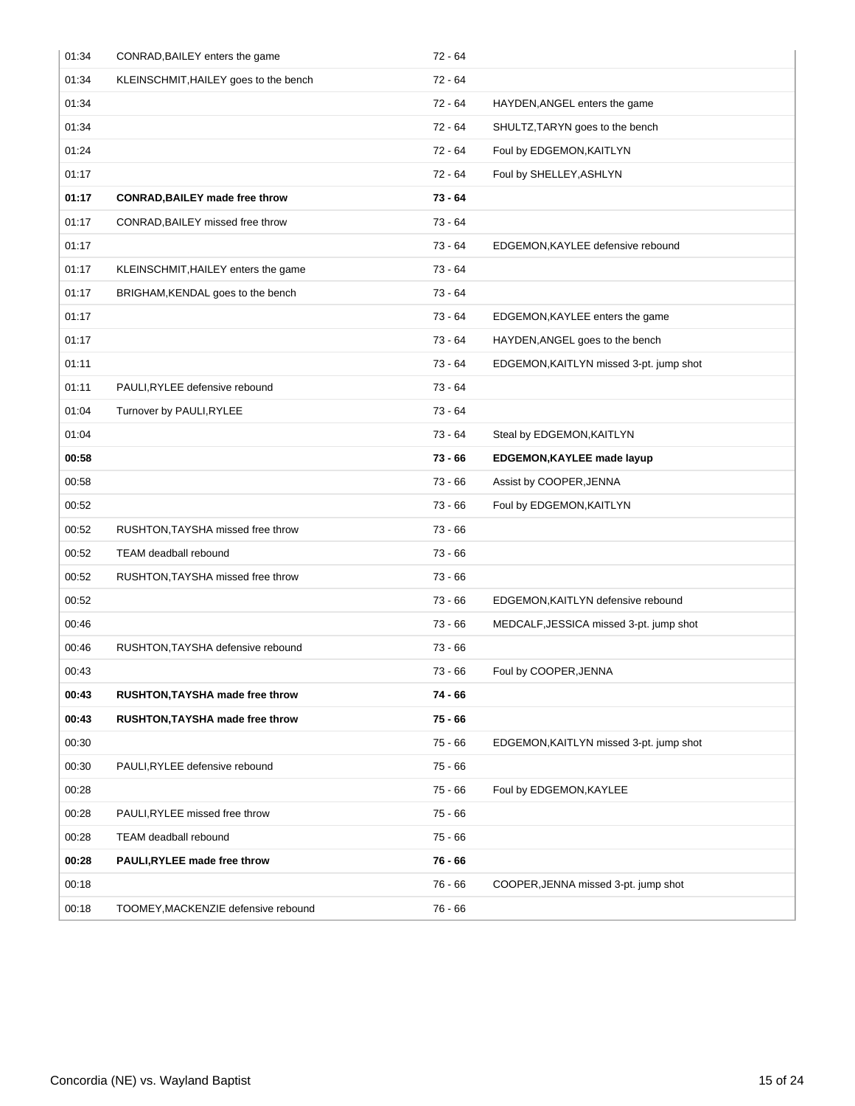| 01:34 | CONRAD, BAILEY enters the game        | $72 - 64$ |                                         |
|-------|---------------------------------------|-----------|-----------------------------------------|
| 01:34 | KLEINSCHMIT, HAILEY goes to the bench | 72 - 64   |                                         |
| 01:34 |                                       | $72 - 64$ | HAYDEN, ANGEL enters the game           |
| 01:34 |                                       | $72 - 64$ | SHULTZ, TARYN goes to the bench         |
| 01:24 |                                       | 72 - 64   | Foul by EDGEMON, KAITLYN                |
| 01:17 |                                       | 72 - 64   | Foul by SHELLEY, ASHLYN                 |
| 01:17 | <b>CONRAD, BAILEY made free throw</b> | $73 - 64$ |                                         |
| 01:17 | CONRAD, BAILEY missed free throw      | $73 - 64$ |                                         |
| 01:17 |                                       | $73 - 64$ | EDGEMON, KAYLEE defensive rebound       |
| 01:17 | KLEINSCHMIT, HAILEY enters the game   | $73 - 64$ |                                         |
| 01:17 | BRIGHAM, KENDAL goes to the bench     | $73 - 64$ |                                         |
| 01:17 |                                       | 73 - 64   | EDGEMON, KAYLEE enters the game         |
| 01:17 |                                       | $73 - 64$ | HAYDEN, ANGEL goes to the bench         |
| 01:11 |                                       | 73 - 64   | EDGEMON, KAITLYN missed 3-pt. jump shot |
| 01:11 | PAULI, RYLEE defensive rebound        | $73 - 64$ |                                         |
| 01:04 | Turnover by PAULI, RYLEE              | $73 - 64$ |                                         |
| 01:04 |                                       | 73 - 64   | Steal by EDGEMON, KAITLYN               |
| 00:58 |                                       | 73 - 66   | EDGEMON, KAYLEE made layup              |
| 00:58 |                                       | 73 - 66   | Assist by COOPER, JENNA                 |
| 00:52 |                                       | $73 - 66$ | Foul by EDGEMON, KAITLYN                |
| 00:52 | RUSHTON, TAYSHA missed free throw     | 73 - 66   |                                         |
| 00:52 | <b>TEAM</b> deadball rebound          | 73 - 66   |                                         |
| 00:52 | RUSHTON, TAYSHA missed free throw     | $73 - 66$ |                                         |
| 00:52 |                                       | $73 - 66$ | EDGEMON, KAITLYN defensive rebound      |
| 00:46 |                                       | 73 - 66   | MEDCALF, JESSICA missed 3-pt. jump shot |
| 00:46 | RUSHTON, TAYSHA defensive rebound     | 73 - 66   |                                         |
| 00:43 |                                       | $73 - 66$ | Foul by COOPER, JENNA                   |
| 00:43 | RUSHTON, TAYSHA made free throw       | $74 - 66$ |                                         |
| 00:43 | RUSHTON, TAYSHA made free throw       | $75 - 66$ |                                         |
| 00:30 |                                       | $75 - 66$ | EDGEMON, KAITLYN missed 3-pt. jump shot |
| 00:30 | PAULI, RYLEE defensive rebound        | $75 - 66$ |                                         |
| 00:28 |                                       | 75 - 66   | Foul by EDGEMON, KAYLEE                 |
| 00:28 | PAULI, RYLEE missed free throw        | $75 - 66$ |                                         |
| 00:28 | <b>TEAM</b> deadball rebound          | $75 - 66$ |                                         |
| 00:28 | PAULI, RYLEE made free throw          | $76 - 66$ |                                         |
|       |                                       |           |                                         |
| 00:18 |                                       | 76 - 66   | COOPER, JENNA missed 3-pt. jump shot    |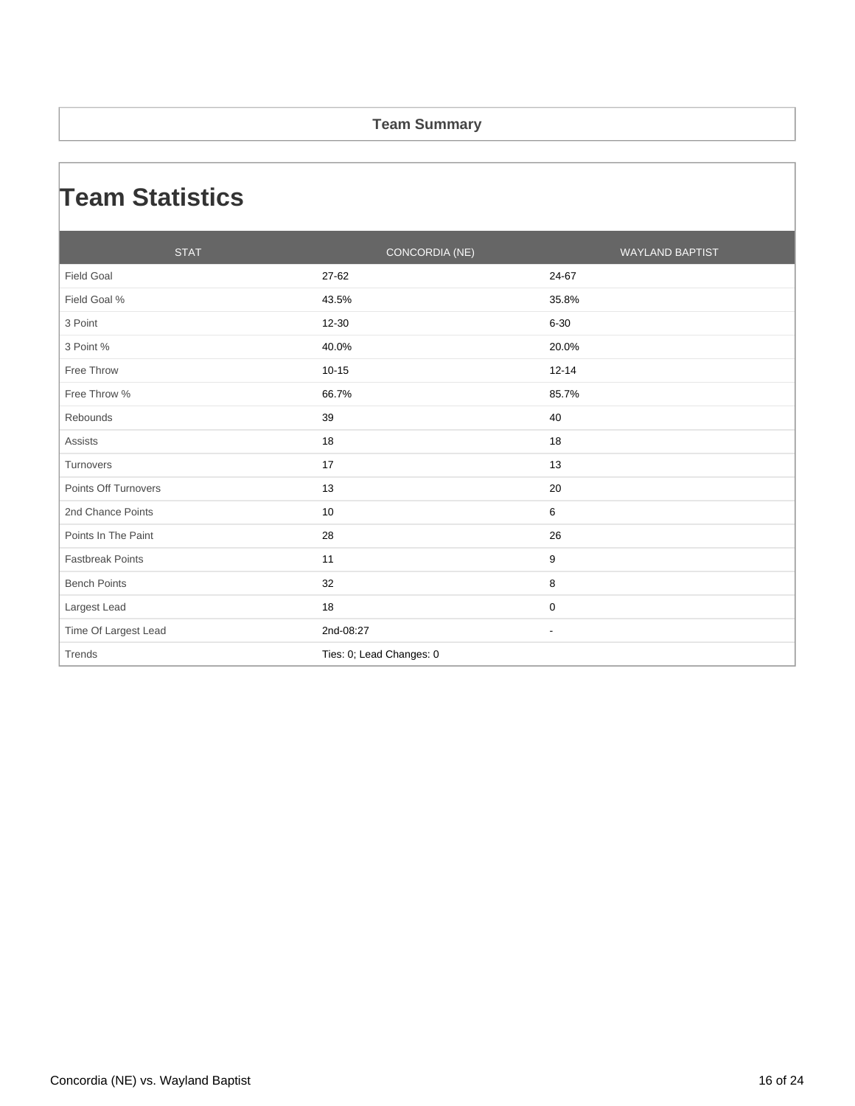### **Team Summary**

## **Team Statistics**

| <b>STAT</b>             | CONCORDIA (NE)           | <b>WAYLAND BAPTIST</b>   |
|-------------------------|--------------------------|--------------------------|
| <b>Field Goal</b>       | 27-62                    | 24-67                    |
| Field Goal %            | 43.5%                    | 35.8%                    |
| 3 Point                 | 12-30                    | $6 - 30$                 |
| 3 Point %               | 40.0%                    | 20.0%                    |
| Free Throw              | $10 - 15$                | $12 - 14$                |
| Free Throw %            | 66.7%                    | 85.7%                    |
| Rebounds                | 39                       | 40                       |
| <b>Assists</b>          | 18                       | 18                       |
| Turnovers               | 17                       | 13                       |
| Points Off Turnovers    | 13                       | 20                       |
| 2nd Chance Points       | 10                       | 6                        |
| Points In The Paint     | 28                       | 26                       |
| <b>Fastbreak Points</b> | 11                       | 9                        |
| <b>Bench Points</b>     | 32                       | 8                        |
| Largest Lead            | 18                       | 0                        |
| Time Of Largest Lead    | 2nd-08:27                | $\overline{\phantom{a}}$ |
| Trends                  | Ties: 0; Lead Changes: 0 |                          |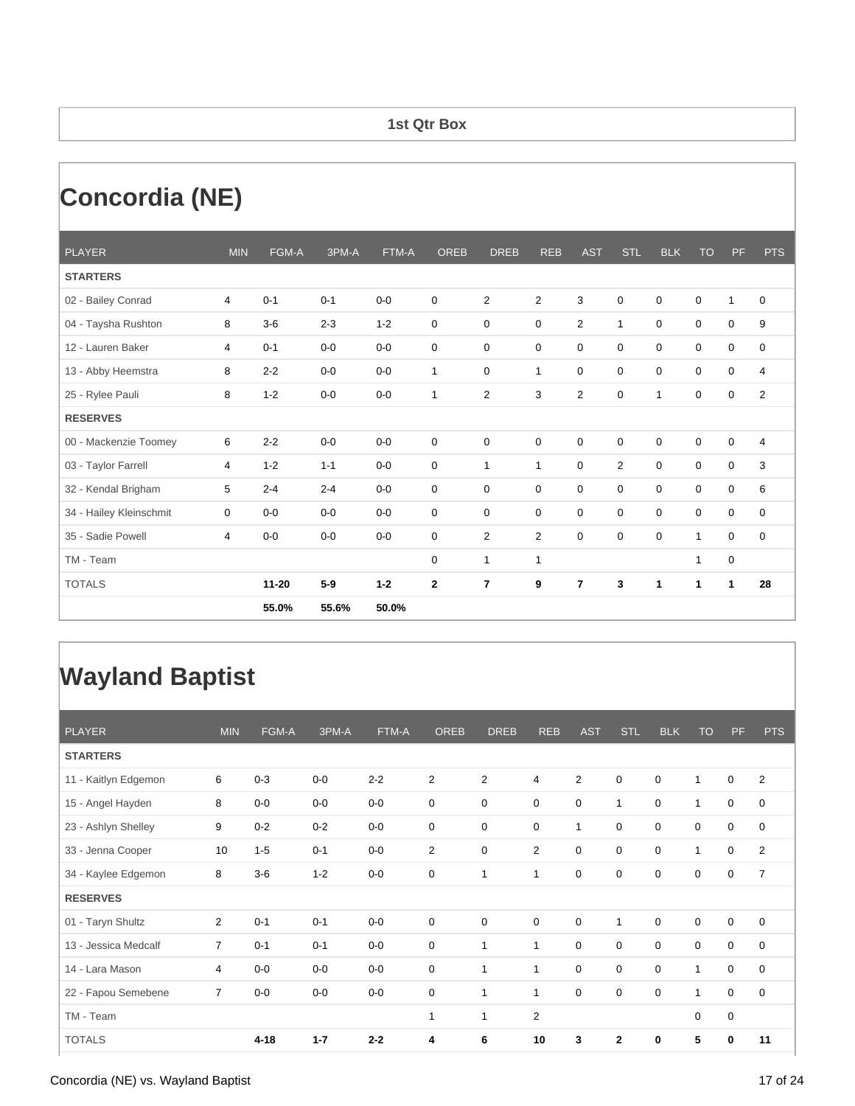### **1st Qtr Box**

# **Concordia (NE)**

| <b>PLAYER</b>           | <b>MIN</b> | FGM-A     | 3PM-A   | FTM-A   | <b>OREB</b>  | <b>DREB</b>    | <b>REB</b>     | <b>AST</b>     | <b>STL</b>     | <b>BLK</b>   | <b>TO</b>    | <b>PF</b>    | <b>PTS</b>     |
|-------------------------|------------|-----------|---------|---------|--------------|----------------|----------------|----------------|----------------|--------------|--------------|--------------|----------------|
| <b>STARTERS</b>         |            |           |         |         |              |                |                |                |                |              |              |              |                |
| 02 - Bailey Conrad      | 4          | $0 - 1$   | $0 - 1$ | $0-0$   | 0            | $\overline{2}$ | $\overline{2}$ | 3              | 0              | $\mathbf 0$  | $\mathbf 0$  | $\mathbf{1}$ | $\mathbf 0$    |
| 04 - Taysha Rushton     | 8          | $3-6$     | $2 - 3$ | $1 - 2$ | 0            | 0              | 0              | $\overline{2}$ | $\mathbf{1}$   | 0            | $\mathbf 0$  | $\mathbf 0$  | 9              |
| 12 - Lauren Baker       | 4          | $0 - 1$   | $0-0$   | $0-0$   | 0            | $\mathbf 0$    | 0              | $\mathbf 0$    | $\mathbf 0$    | $\mathbf 0$  | $\mathbf 0$  | $\mathbf 0$  | $\mathbf 0$    |
| 13 - Abby Heemstra      | 8          | $2 - 2$   | $0-0$   | $0 - 0$ | $\mathbf{1}$ | $\mathbf 0$    | $\mathbf{1}$   | $\mathbf 0$    | 0              | $\mathbf 0$  | $\mathbf 0$  | $\mathbf 0$  | $\overline{4}$ |
| 25 - Rylee Pauli        | 8          | $1 - 2$   | $0-0$   | $0 - 0$ | 1            | $\overline{2}$ | 3              | $\overline{2}$ | 0              | $\mathbf{1}$ | 0            | $\mathbf 0$  | $\overline{2}$ |
| <b>RESERVES</b>         |            |           |         |         |              |                |                |                |                |              |              |              |                |
| 00 - Mackenzie Toomey   | 6          | $2 - 2$   | $0-0$   | $0-0$   | 0            | $\mathbf 0$    | $\mathbf 0$    | $\mathbf 0$    | 0              | $\mathbf 0$  | $\mathbf 0$  | 0            | 4              |
| 03 - Taylor Farrell     | 4          | $1 - 2$   | $1 - 1$ | $0-0$   | 0            | $\mathbf{1}$   | $\mathbf{1}$   | $\Omega$       | $\overline{2}$ | $\Omega$     | $\Omega$     | $\mathbf 0$  | 3              |
| 32 - Kendal Brigham     | 5          | $2 - 4$   | $2 - 4$ | $0-0$   | 0            | $\mathbf 0$    | 0              | $\mathbf 0$    | $\mathbf 0$    | 0            | 0            | $\mathbf 0$  | 6              |
| 34 - Hailey Kleinschmit | 0          | $0-0$     | $0-0$   | $0 - 0$ | 0            | $\mathbf 0$    | $\mathbf 0$    | $\Omega$       | $\Omega$       | $\Omega$     | $\Omega$     | $\mathbf 0$  | 0              |
| 35 - Sadie Powell       | 4          | $0 - 0$   | $0-0$   | $0 - 0$ | 0            | 2              | $\overline{2}$ | $\Omega$       | $\Omega$       | $\Omega$     | $\mathbf{1}$ | $\mathbf 0$  | $\mathbf 0$    |
| TM - Team               |            |           |         |         | 0            | $\mathbf{1}$   | $\mathbf{1}$   |                |                |              | 1            | 0            |                |
| <b>TOTALS</b>           |            | $11 - 20$ | $5-9$   | $1 - 2$ | $\mathbf 2$  | 7              | 9              | $\overline{7}$ | 3              | $\mathbf{1}$ | 1            | 1            | 28             |
|                         |            | 55.0%     | 55.6%   | 50.0%   |              |                |                |                |                |              |              |              |                |

## **Wayland Baptist**

| <b>PLAYER</b>        | <b>MIN</b>     | FGM-A    | 3PM-A   | FTM-A   | <b>OREB</b>    | <b>DREB</b>    | <b>REB</b>     | <b>AST</b>   | <b>STL</b>   | <b>BLK</b>  | <b>TO</b>      | PF          | <b>PTS</b>     |
|----------------------|----------------|----------|---------|---------|----------------|----------------|----------------|--------------|--------------|-------------|----------------|-------------|----------------|
| <b>STARTERS</b>      |                |          |         |         |                |                |                |              |              |             |                |             |                |
| 11 - Kaitlyn Edgemon | 6              | $0 - 3$  | $0-0$   | $2 - 2$ | $\overline{2}$ | $\overline{2}$ | 4              | 2            | $\mathbf 0$  | $\mathbf 0$ | 1              | $\mathbf 0$ | $\overline{2}$ |
| 15 - Angel Hayden    | 8              | $0-0$    | $0-0$   | $0-0$   | $\mathbf 0$    | 0              | 0              | 0            | $\mathbf{1}$ | $\mathbf 0$ | $\mathbf 1$    | 0           | 0              |
| 23 - Ashlyn Shelley  | 9              | $0 - 2$  | $0 - 2$ | $0-0$   | 0              | 0              | 0              | $\mathbf{1}$ | $\mathbf 0$  | $\mathbf 0$ | 0              | 0           | 0              |
| 33 - Jenna Cooper    | 10             | $1 - 5$  | $0 - 1$ | $0-0$   | 2              | 0              | $\overline{2}$ | $\mathbf 0$  | $\mathbf 0$  | $\mathbf 0$ | 1              | 0           | $\overline{2}$ |
| 34 - Kaylee Edgemon  | 8              | $3-6$    | $1 - 2$ | $0-0$   | 0              | 1              | 1              | 0            | 0            | $\mathbf 0$ | 0              | 0           | $\overline{7}$ |
| <b>RESERVES</b>      |                |          |         |         |                |                |                |              |              |             |                |             |                |
| 01 - Taryn Shultz    | 2              | $0 - 1$  | $0 - 1$ | $0-0$   | $\mathbf 0$    | 0              | 0              | $\mathbf 0$  | $\mathbf{1}$ | $\mathbf 0$ | $\mathbf 0$    | 0           | 0              |
| 13 - Jessica Medcalf | $\overline{7}$ | $0 - 1$  | $0 - 1$ | $0-0$   | $\mathbf 0$    | 1              | 1              | $\mathbf 0$  | $\mathbf 0$  | $\mathbf 0$ | $\mathbf 0$    | 0           | 0              |
| 14 - Lara Mason      | 4              | $0-0$    | $0-0$   | $0-0$   | $\mathbf 0$    | 1              | 1              | $\mathbf 0$  | $\mathbf 0$  | $\mathbf 0$ | 1              | $\mathbf 0$ | $\mathbf 0$    |
| 22 - Fapou Semebene  | $\overline{7}$ | $0-0$    | $0-0$   | $0-0$   | 0              | 1              | $\mathbf{1}$   | 0            | $\mathbf 0$  | $\mathbf 0$ | $\overline{1}$ | 0           | 0              |
| TM - Team            |                |          |         |         | $\mathbf{1}$   | 1              | $\overline{2}$ |              |              |             | $\mathbf 0$    | 0           |                |
| <b>TOTALS</b>        |                | $4 - 18$ | $1 - 7$ | $2 - 2$ | 4              | 6              | 10             | 3            | $\mathbf{2}$ | 0           | 5              | 0           | 11             |

#### Concordia (NE) vs. Wayland Baptist 17 of 24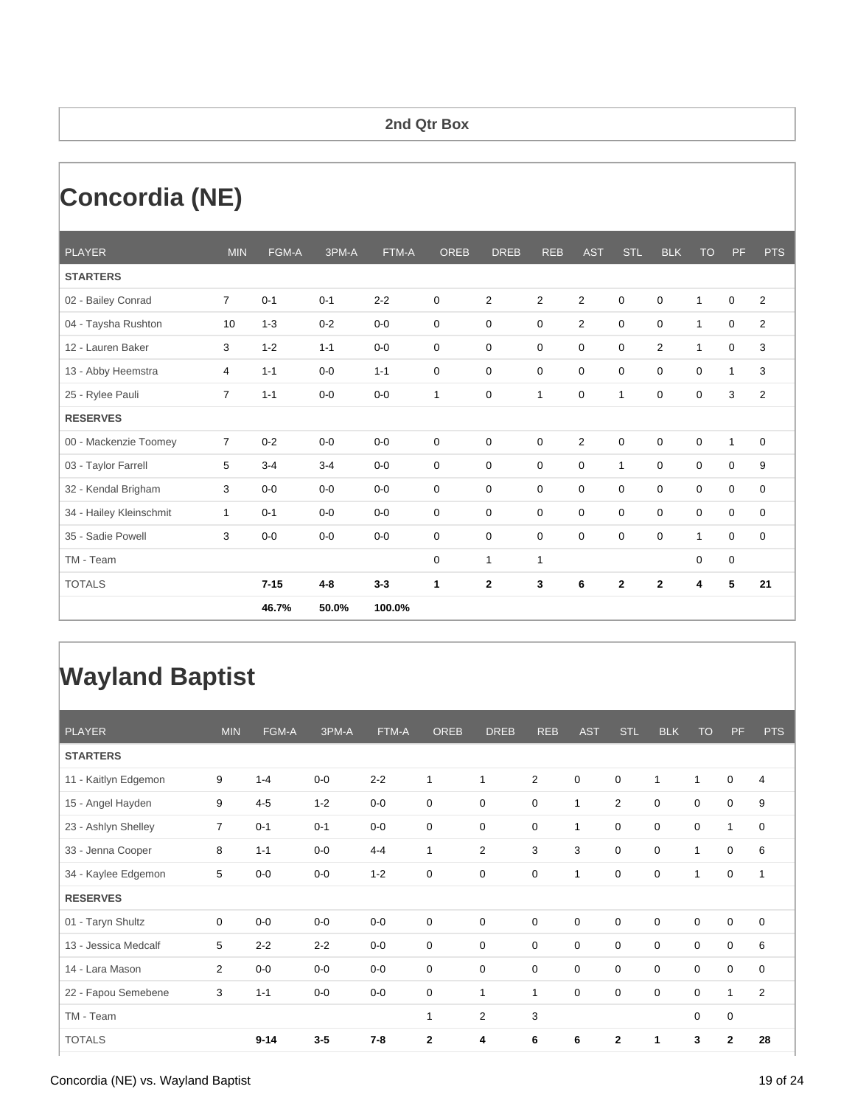### **2nd Qtr Box**

# **Concordia (NE)**

| <b>PLAYER</b>           | <b>MIN</b>     | FGM-A    | 3PM-A   | FTM-A   | <b>OREB</b>  | <b>DREB</b>    | <b>REB</b>     | <b>AST</b>     | <b>STL</b>              | <b>BLK</b>     | <b>TO</b>    | PF           | <b>PTS</b>              |
|-------------------------|----------------|----------|---------|---------|--------------|----------------|----------------|----------------|-------------------------|----------------|--------------|--------------|-------------------------|
| <b>STARTERS</b>         |                |          |         |         |              |                |                |                |                         |                |              |              |                         |
| 02 - Bailey Conrad      | $\overline{7}$ | $0 - 1$  | $0 - 1$ | $2 - 2$ | 0            | $\overline{2}$ | $\overline{2}$ | $\overline{2}$ | 0                       | 0              | $\mathbf{1}$ | $\mathbf 0$  | $\overline{2}$          |
| 04 - Taysha Rushton     | 10             | $1 - 3$  | $0 - 2$ | $0-0$   | $\mathbf 0$  | $\mathbf 0$    | $\mathbf 0$    | $\overline{2}$ | $\mathbf 0$             | $\mathbf 0$    | $\mathbf{1}$ | 0            | $\overline{\mathbf{c}}$ |
| 12 - Lauren Baker       | 3              | $1 - 2$  | $1 - 1$ | $0 - 0$ | 0            | $\mathbf 0$    | $\mathbf 0$    | $\mathbf 0$    | 0                       | $\overline{2}$ | $\mathbf{1}$ | 0            | 3                       |
| 13 - Abby Heemstra      | $\overline{4}$ | $1 - 1$  | $0-0$   | $1 - 1$ | 0            | $\Omega$       | $\Omega$       | $\Omega$       | $\Omega$                | $\Omega$       | $\Omega$     | $\mathbf{1}$ | 3                       |
| 25 - Rylee Pauli        | $\overline{7}$ | $1 - 1$  | $0-0$   | $0-0$   | $\mathbf{1}$ | 0              | 1              | $\mathbf 0$    | 1                       | 0              | 0            | 3            | $\overline{2}$          |
| <b>RESERVES</b>         |                |          |         |         |              |                |                |                |                         |                |              |              |                         |
| 00 - Mackenzie Toomey   | $\overline{7}$ | $0 - 2$  | $0 - 0$ | $0 - 0$ | 0            | $\mathbf 0$    | $\mathbf 0$    | $\overline{2}$ | 0                       | $\Omega$       | $\mathbf 0$  | $\mathbf{1}$ | $\mathbf 0$             |
| 03 - Taylor Farrell     | 5              | $3 - 4$  | $3 - 4$ | $0-0$   | 0            | $\mathbf 0$    | $\mathbf 0$    | $\mathbf 0$    | $\mathbf{1}$            | 0              | $\mathbf 0$  | 0            | 9                       |
| 32 - Kendal Brigham     | 3              | $0-0$    | $0-0$   | $0-0$   | $\mathbf 0$  | 0              | $\mathbf 0$    | 0              | $\mathbf 0$             | $\mathbf 0$    | 0            | 0            | $\mathbf 0$             |
| 34 - Hailey Kleinschmit | $\mathbf{1}$   | $0 - 1$  | $0-0$   | $0 - 0$ | 0            | $\mathbf 0$    | $\mathbf 0$    | $\mathbf 0$    | 0                       | $\mathbf 0$    | $\mathbf 0$  | 0            | $\mathbf 0$             |
| 35 - Sadie Powell       | 3              | $0-0$    | $0 - 0$ | $0-0$   | 0            | $\mathbf 0$    | $\mathbf 0$    | $\Omega$       | $\Omega$                | $\Omega$       | $\mathbf{1}$ | 0            | $\mathbf 0$             |
| TM - Team               |                |          |         |         | 0            | $\mathbf{1}$   | 1              |                |                         |                | $\mathbf 0$  | $\pmb{0}$    |                         |
| <b>TOTALS</b>           |                | $7 - 15$ | $4 - 8$ | $3 - 3$ | $\mathbf{1}$ | $\mathbf{2}$   | 3              | 6              | $\overline{\mathbf{2}}$ | $\mathbf{2}$   | 4            | 5            | 21                      |
|                         |                | 46.7%    | 50.0%   | 100.0%  |              |                |                |                |                         |                |              |              |                         |

## **Wayland Baptist**

| <b>PLAYER</b>        | <b>MIN</b>     | FGM-A    | 3PM-A   | FTM-A   | <b>OREB</b>  | <b>DREB</b>    | <b>REB</b>   | <b>AST</b>   | <b>STL</b>       | <b>BLK</b>   | <b>TO</b>    | PF             | <b>PTS</b>     |
|----------------------|----------------|----------|---------|---------|--------------|----------------|--------------|--------------|------------------|--------------|--------------|----------------|----------------|
| <b>STARTERS</b>      |                |          |         |         |              |                |              |              |                  |              |              |                |                |
| 11 - Kaitlyn Edgemon | 9              | $1 - 4$  | $0-0$   | $2 - 2$ | 1            | $\mathbf{1}$   | 2            | $\mathbf 0$  | 0                | $\mathbf{1}$ | $\mathbf{1}$ | 0              | 4              |
| 15 - Angel Hayden    | 9              | $4 - 5$  | $1 - 2$ | $0-0$   | 0            | 0              | 0            | $\mathbf{1}$ | $\overline{2}$   | 0            | 0            | 0              | 9              |
| 23 - Ashlyn Shelley  | 7              | $0 - 1$  | $0 - 1$ | $0-0$   | $\mathbf 0$  | $\mathbf 0$    | $\mathbf 0$  | $\mathbf{1}$ | $\mathbf 0$      | $\mathbf 0$  | $\mathbf 0$  | $\mathbf{1}$   | $\mathbf 0$    |
| 33 - Jenna Cooper    | 8              | $1 - 1$  | $0-0$   | $4 - 4$ | $\mathbf{1}$ | $\overline{2}$ | 3            | 3            | $\mathbf 0$      | $\mathbf 0$  | $\mathbf{1}$ | $\mathbf 0$    | 6              |
| 34 - Kaylee Edgemon  | 5              | $0-0$    | $0-0$   | $1 - 2$ | $\mathbf 0$  | $\mathbf 0$    | $\mathbf 0$  | 1            | $\mathbf 0$      | $\mathbf 0$  | 1            | $\mathbf 0$    | 1              |
| <b>RESERVES</b>      |                |          |         |         |              |                |              |              |                  |              |              |                |                |
| 01 - Taryn Shultz    | 0              | $0-0$    | $0-0$   | $0-0$   | 0            | $\mathbf 0$    | 0            | $\mathbf 0$  | $\mathbf 0$      | 0            | 0            | 0              | 0              |
| 13 - Jessica Medcalf | 5              | $2 - 2$  | $2 - 2$ | $0-0$   | 0            | 0              | 0            | $\mathbf 0$  | $\boldsymbol{0}$ | 0            | 0            | 0              | 6              |
| 14 - Lara Mason      | $\overline{2}$ | $0-0$    | $0-0$   | $0-0$   | $\mathbf 0$  | $\mathbf 0$    | 0            | $\mathbf 0$  | $\mathbf 0$      | $\mathbf 0$  | $\mathbf 0$  | 0              | $\mathbf 0$    |
| 22 - Fapou Semebene  | 3              | $1 - 1$  | $0-0$   | $0-0$   | $\mathbf 0$  | $\mathbf{1}$   | $\mathbf{1}$ | $\mathbf 0$  | $\mathbf 0$      | 0            | $\mathbf 0$  | $\overline{1}$ | $\overline{2}$ |
| TM - Team            |                |          |         |         | 1            | 2              | 3            |              |                  |              | 0            | $\mathbf 0$    |                |
| <b>TOTALS</b>        |                | $9 - 14$ | $3-5$   | $7 - 8$ | $\mathbf{2}$ | 4              | 6            | 6            | $\mathbf{2}$     | 1            | 3            | $\mathbf{2}$   | 28             |

#### Concordia (NE) vs. Wayland Baptist 19 of 24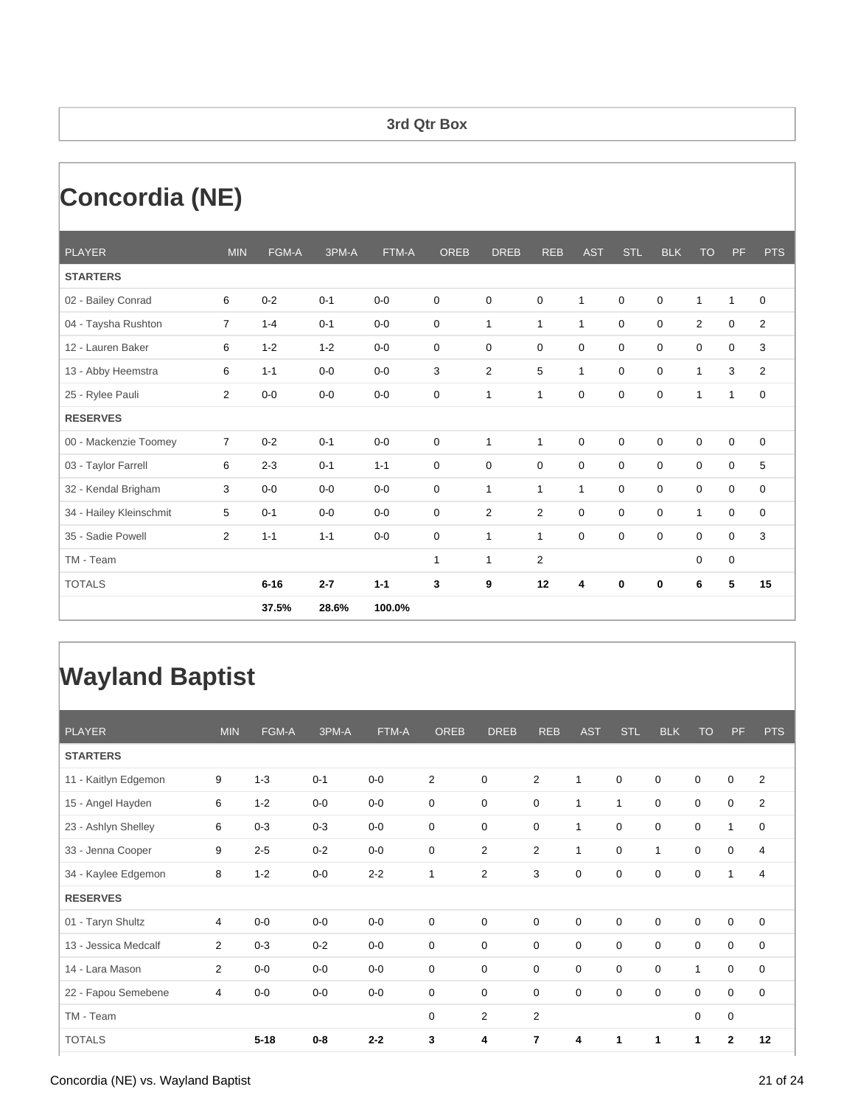### **3rd Qtr Box**

# **Concordia (NE)**

| <b>PLAYER</b>           | <b>MIN</b>     | FGM-A    | 3PM-A   | FTM-A   | <b>OREB</b> | <b>DREB</b>    | <b>REB</b>   | <b>AST</b>   | <b>STL</b>  | <b>BLK</b>  | <b>TO</b>    | <b>PF</b>    | <b>PTS</b>     |
|-------------------------|----------------|----------|---------|---------|-------------|----------------|--------------|--------------|-------------|-------------|--------------|--------------|----------------|
| <b>STARTERS</b>         |                |          |         |         |             |                |              |              |             |             |              |              |                |
| 02 - Bailey Conrad      | 6              | $0 - 2$  | $0 - 1$ | $0-0$   | 0           | $\mathbf 0$    | $\mathbf 0$  | $\mathbf{1}$ | 0           | 0           | $\mathbf{1}$ | $\mathbf{1}$ | 0              |
| 04 - Taysha Rushton     | $\overline{7}$ | $1 - 4$  | $0 - 1$ | $0-0$   | $\mathbf 0$ | 1              | $\mathbf{1}$ | $\mathbf{1}$ | $\mathbf 0$ | $\mathbf 0$ | 2            | $\mathbf 0$  | 2              |
| 12 - Lauren Baker       | 6              | $1 - 2$  | $1 - 2$ | $0-0$   | $\mathbf 0$ | $\mathbf 0$    | $\mathbf 0$  | $\mathbf 0$  | 0           | $\mathbf 0$ | $\mathbf 0$  | $\mathbf 0$  | 3              |
| 13 - Abby Heemstra      | 6              | $1 - 1$  | $0-0$   | $0-0$   | 3           | $\overline{2}$ | 5            | $\mathbf{1}$ | 0           | $\mathbf 0$ | $\mathbf{1}$ | 3            | $\overline{2}$ |
| 25 - Rylee Pauli        | $\overline{2}$ | $0-0$    | $0-0$   | $0-0$   | 0           | 1              | 1            | 0            | 0           | 0           | $\mathbf{1}$ | $\mathbf{1}$ | 0              |
| <b>RESERVES</b>         |                |          |         |         |             |                |              |              |             |             |              |              |                |
| 00 - Mackenzie Toomey   | $\overline{7}$ | $0 - 2$  | $0 - 1$ | $0-0$   | $\mathbf 0$ | 1              | 1            | $\mathbf 0$  | 0           | $\mathbf 0$ | $\mathbf 0$  | $\mathbf 0$  | $\mathbf 0$    |
| 03 - Taylor Farrell     | 6              | $2 - 3$  | $0 - 1$ | $1 - 1$ | $\mathbf 0$ | $\mathbf 0$    | $\mathbf 0$  | $\mathbf 0$  | 0           | $\mathbf 0$ | $\mathbf 0$  | $\mathbf 0$  | 5              |
| 32 - Kendal Brigham     | 3              | $0-0$    | $0-0$   | $0-0$   | 0           | 1              | 1            | $\mathbf{1}$ | 0           | 0           | $\mathbf 0$  | $\mathbf 0$  | 0              |
| 34 - Hailey Kleinschmit | 5              | $0 - 1$  | $0-0$   | $0-0$   | $\mathbf 0$ | $\overline{2}$ | 2            | $\mathbf 0$  | 0           | $\mathbf 0$ | $\mathbf{1}$ | $\mathbf 0$  | $\mathbf 0$    |
| 35 - Sadie Powell       | $\overline{2}$ | $1 - 1$  | $1 - 1$ | $0-0$   | 0           | 1              | $\mathbf{1}$ | $\mathbf 0$  | 0           | $\mathbf 0$ | $\mathbf 0$  | $\mathbf 0$  | 3              |
| TM - Team               |                |          |         |         | 1           | 1              | 2            |              |             |             | 0            | $\mathbf 0$  |                |
| <b>TOTALS</b>           |                | $6 - 16$ | $2 - 7$ | $1 - 1$ | 3           | 9              | 12           | 4            | $\bf{0}$    | $\bf{0}$    | 6            | 5            | 15             |
|                         |                | 37.5%    | 28.6%   | 100.0%  |             |                |              |              |             |             |              |              |                |

## **Wayland Baptist**

| <b>PLAYER</b>        | <b>MIN</b>     | FGM-A    | 3PM-A   | FTM-A   | <b>OREB</b>    | <b>DREB</b>    | <b>REB</b>     | <b>AST</b>   | <b>STL</b>   | <b>BLK</b>   | <b>TO</b>    | PF           | <b>PTS</b>     |
|----------------------|----------------|----------|---------|---------|----------------|----------------|----------------|--------------|--------------|--------------|--------------|--------------|----------------|
| <b>STARTERS</b>      |                |          |         |         |                |                |                |              |              |              |              |              |                |
| 11 - Kaitlyn Edgemon | 9              | $1 - 3$  | $0 - 1$ | $0-0$   | $\overline{2}$ | 0              | $\overline{2}$ | $\mathbf{1}$ | $\mathbf 0$  | $\mathbf 0$  | $\mathbf 0$  | 0            | 2              |
| 15 - Angel Hayden    | 6              | $1 - 2$  | $0-0$   | $0-0$   | 0              | 0              | 0              | $\mathbf{1}$ | $\mathbf{1}$ | $\mathbf 0$  | $\mathbf 0$  | 0            | $\overline{2}$ |
| 23 - Ashlyn Shelley  | 6              | $0 - 3$  | $0 - 3$ | $0-0$   | 0              | 0              | 0              | 1            | $\mathbf 0$  | $\mathbf 0$  | $\mathbf 0$  | 1            | $\mathbf 0$    |
| 33 - Jenna Cooper    | 9              | $2 - 5$  | $0 - 2$ | $0-0$   | $\mathbf 0$    | $\overline{2}$ | $\overline{2}$ | $\mathbf{1}$ | $\mathbf 0$  | $\mathbf{1}$ | $\mathbf 0$  | 0            | 4              |
| 34 - Kaylee Edgemon  | 8              | $1 - 2$  | $0-0$   | $2 - 2$ | 1              | $\overline{2}$ | 3              | $\mathbf 0$  | $\mathbf 0$  | $\mathbf 0$  | $\mathbf 0$  | 1            | 4              |
| <b>RESERVES</b>      |                |          |         |         |                |                |                |              |              |              |              |              |                |
| 01 - Taryn Shultz    | 4              | $0-0$    | $0-0$   | $0-0$   | $\mathbf 0$    | $\mathbf 0$    | 0              | $\mathbf 0$  | $\mathbf 0$  | $\mathbf 0$  | $\mathbf 0$  | 0            | $\mathbf 0$    |
| 13 - Jessica Medcalf | 2              | $0 - 3$  | $0 - 2$ | $0-0$   | 0              | 0              | 0              | 0            | 0            | $\mathbf 0$  | $\mathbf 0$  | 0            | $\mathbf 0$    |
| 14 - Lara Mason      | 2              | $0-0$    | $0-0$   | $0-0$   | $\mathbf 0$    | $\mathbf 0$    | 0              | $\mathbf 0$  | $\mathbf 0$  | $\mathbf 0$  | $\mathbf{1}$ | 0            | 0              |
| 22 - Fapou Semebene  | $\overline{4}$ | $0-0$    | $0-0$   | $0-0$   | $\mathbf 0$    | $\mathbf 0$    | 0              | $\mathbf 0$  | $\mathbf 0$  | $\mathbf 0$  | $\mathbf 0$  | $\mathbf 0$  | $\mathbf 0$    |
| TM - Team            |                |          |         |         | 0              | 2              | $\overline{2}$ |              |              |              | $\mathbf 0$  | $\mathbf 0$  |                |
| <b>TOTALS</b>        |                | $5 - 18$ | $0-8$   | $2 - 2$ | 3              | 4              | 7              | 4            | 1            | 1            | 1            | $\mathbf{2}$ | 12             |